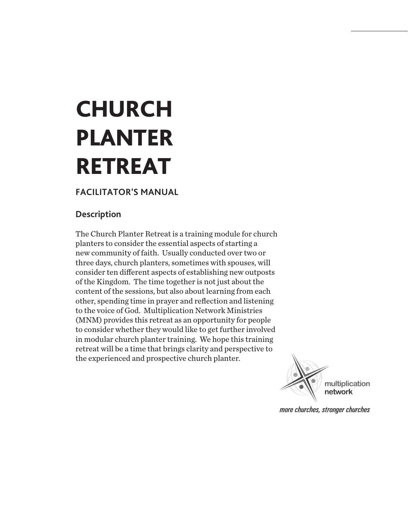# CHURCH PLANTER RETREAT

#### **FACILITATOR'S MANUAL**

#### **Description**

The Church Planter Retreat is a training module for church planters to consider the essential aspects of starting a new community of faith. Usually conducted over two or three days, church planters, sometimes with spouses, will consider ten different aspects of establishing new outposts of the Kingdom. The time together is not just about the content of the sessions, but also about learning from each other, spending time in prayer and reflection and listening to the voice of God. Multiplication Network Ministries (MNM) provides this retreat as an opportunity for people to consider whether they would like to get further involved in modular church planter training. We hope this training retreat will be a time that brings clarity and perspective to the experienced and prospective church planter.



more churches, stronger churches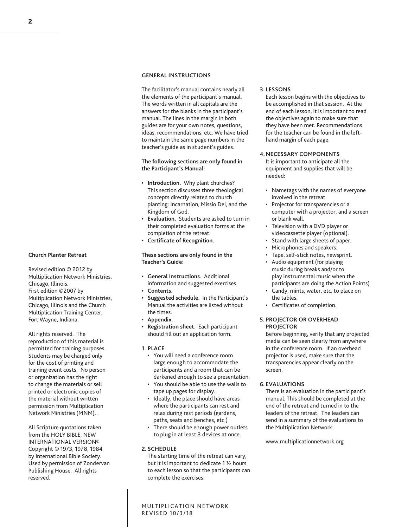#### **GENERAL INSTRUCTIONS**

The facilitator's manual contains nearly all the elements of the participant's manual. The words written in all capitals are the answers for the blanks in the participant's manual. The lines in the margin in both guides are for your own notes, questions, ideas, recommendations, etc. We have tried to maintain the same page numbers in the teacher's guide as in student's guides.

#### **The following sections are only found in the Participant's Manual:**

- **• Introduction.** Why plant churches? This section discusses three theological concepts directly related to church planting: Incarnation, Missio Dei, and the Kingdom of God.
- **• Evaluation.** Students are asked to turn in their completed evaluation forms at the completion of the retreat.
- **• Certificate of Recognition.**

#### **These sections are only found in the Teacher's Guide:**

- **• General Instructions.** Additional information and suggested exercises.
- **• Contents.**
- **• Suggested schedule.** In the Participant's Manual the activities are listed without the times.
- **• Appendix**.
- **• Registration sheet.** Each participant should fill out an application form.

#### **1. PLACE**

- You will need a conference room large enough to accommodate the participants and a room that can be darkened enough to see a presentation.
- You should be able to use the walls to tape up pages for display.
- Ideally, the place should have areas where the participants can rest and relax during rest periods (gardens, paths, seats and benches, etc.)
- There should be enough power outlets to plug in at least 3 devices at once.

#### **2. SCHEDULE**

The starting time of the retreat can vary, but it is important to dedicate 1 ½ hours to each lesson so that the participants can complete the exercises.

#### **3. LESSONS**

Each lesson begins with the objectives to be accomplished in that session. At the end of each lesson, it is important to read the objectives again to make sure that they have been met. Recommendations for the teacher can be found in the lefthand margin of each page.

#### **4.NECESSARY COMPONENTS**

It is important to anticipate all the equipment and supplies that will be needed:

- Nametags with the names of everyone involved in the retreat.
- Projector for transparencies or a computer with a projector, and a screen or blank wall.
- Television with a DVD player or videocassette player (optional).
- Stand with large sheets of paper.
- Microphones and speakers.
- Tape, self-stick notes, newsprint.
- Audio equipment (for playing music during breaks and/or to play instrumental music when the participants are doing the Action Points)
- Candy, mints, water, etc. to place on the tables.
- Certificates of completion.

#### **5. PROJECTOR OR OVERHEAD PROJECTOR**

Before beginning, verify that any projected media can be seen clearly from anywhere in the conference room. If an overhead projector is used, make sure that the transparencies appear clearly on the screen.

#### **6. EVALUATIONS**

There is an evaluation in the participant's manual. This should be completed at the end of the retreat and turned in to the leaders of the retreat. The leaders can send in a summary of the evaluations to the Multiplication Network:

www.multiplicationnetwork.org

### **Church Planter Retreat**

Revised edition © 2012 by Multiplication Network Ministries, Chicago, Illinois. First edition ©2007 by Multiplication Network Ministries, Chicago, Illinois and the Church Multiplication Training Center, Fort Wayne, Indiana.

All rights reserved. The reproduction of this material is permitted for training purposes. Students may be charged only for the cost of printing and training event costs. No person or organization has the right to change the materials or sell printed or electronic copies of the material without written permission from Multiplication Network Ministries (MNM). .

All Scripture quotations taken from the HOLY BIBLE, NEW INTERNATIONAL VERSION® Copyright © 1973, 1978, 1984 by International Bible Society. Used by permission of Zondervan Publishing House. All rights reserved.

MULTIPLICATION NETWORK REVISED 10/3/18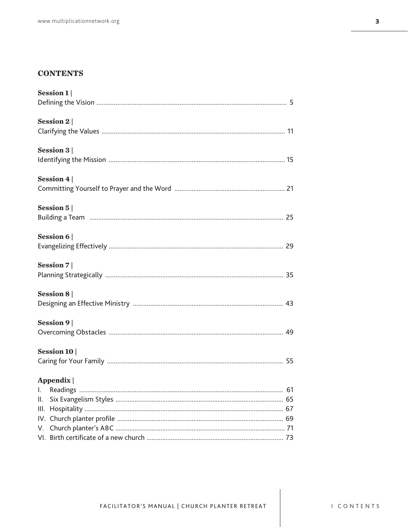#### **CONTENTS**

| Session 1                       |
|---------------------------------|
| Session 2                       |
| Session 3                       |
| Session 4                       |
| Session 5                       |
| Session $6 \mid$                |
| Session 7                       |
| Session 8                       |
| Session 9                       |
| Session 10                      |
| Appendix  <br>I.<br>ΙΙ.<br>III. |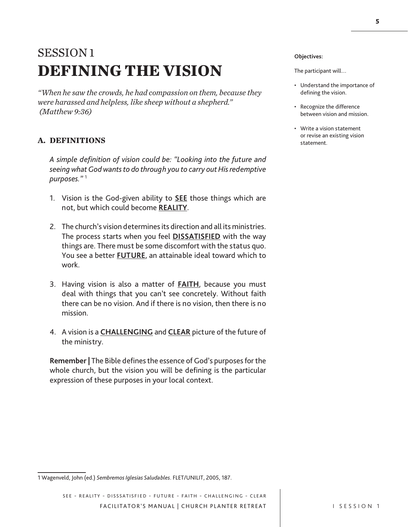### SESSION 1 **DEFINING THE VISION**

*"When he saw the crowds, he had compassion on them, because they were harassed and helpless, like sheep without a shepherd." (Matthew 9:36)*

*A simple definition of vision could be: "Looking into the future and seeing what God wants to do through you to carry out His redemptive purposes."* <sup>1</sup>

- 1. Vision is the God-given ability to **SEE** those things which are not, but which could become **REALITY**.
- 2. The church's vision determines its direction and all its ministries. The process starts when you feel **DISSATISFIED** with the way things are. There must be some discomfort with the status quo. You see a better **FUTURE**, an attainable ideal toward which to work.
- 3. Having vision is also a matter of **FAITH**, because you must deal with things that you can't see concretely. Without faith there can be no vision. And if there is no vision, then there is no mission.
- 4. A vision is a **CHALLENGING** and **CLEAR** picture of the future of the ministry.

**Remember |** The Bible defines the essence of God's purposes for the whole church, but the vision you will be defining is the particular expression of these purposes in your local context.

The participant will…

- Understand the importance of defining the vision.
- Recognize the difference between vision and mission.
- Write a vision statement or revise an existing vision **A. DEFINITIONS** statement.

**Objectives:**

<sup>1</sup> Wagenveld, John (ed.) *Sembremos Iglesias Saludables*. FLET/UNILIT, 2005, 187.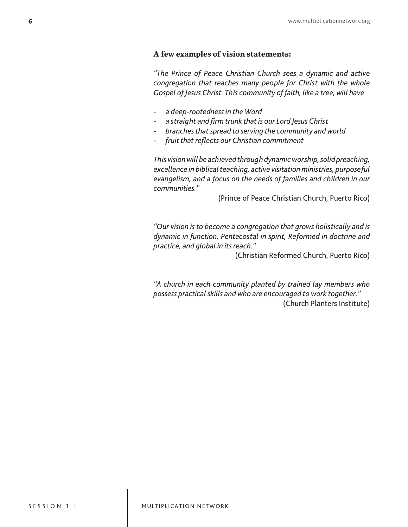#### **A few examples of vision statements:**

*"The Prince of Peace Christian Church sees a dynamic and active congregation that reaches many people for Christ with the whole Gospel of Jesus Christ. This community of faith, like a tree, will have*

- *a deep-rootedness in the Word*
- a straight and firm trunk that is our Lord Jesus Christ
- *branches that spread to serving the community and world*
- *fruit that reflects our Christian commitment*

*This vision will be achieved through dynamic worship, solid preaching, excellence in biblical teaching, active visitation ministries, purposeful evangelism, and a focus on the needs of families and children in our communities."* 

(Prince of Peace Christian Church, Puerto Rico)

*"Our vision is to become a congregation that grows holistically and is dynamic in function, Pentecostal in spirit, Reformed in doctrine and practice, and global in its reach."*

(Christian Reformed Church, Puerto Rico)

*"A church in each community planted by trained lay members who possess practical skills and who are encouraged to work together."* (Church Planters Institute)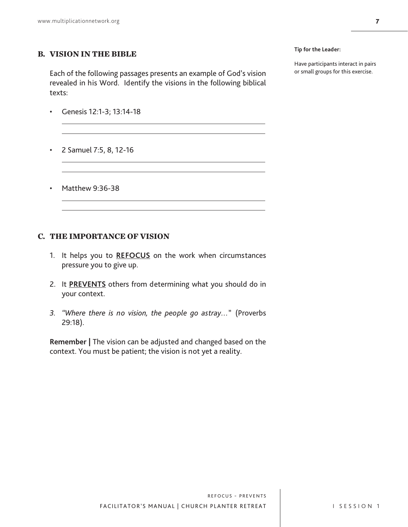#### **B. VISION IN THE BIBLE**

Each of the following passages presents an example of God's vision revealed in his Word. Identify the visions in the following biblical texts:

- Genesis 12:1-3; 13:14-18
- 2 Samuel 7:5, 8, 12-16
- Matthew 9:36-38

#### **C. THE IMPORTANCE OF VISION**

- 1. It helps you to **REFOCUS** on the work when circumstances pressure you to give up.
- 2. It **PREVENTS** others from determining what you should do in your context.
- *3. "Where there is no vision, the people go astray…*" (Proverbs 29:18).

**Remember |** The vision can be adjusted and changed based on the context. You must be patient; the vision is not yet a reality.

#### **Tip for the Leader:**

Have participants interact in pairs or small groups for this exercise.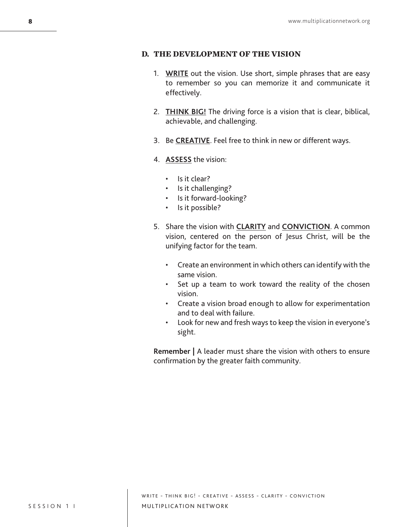#### **D. THE DEVELOPMENT OF THE VISION**

- 1. **WRITE** out the vision. Use short, simple phrases that are easy to remember so you can memorize it and communicate it effectively.
- 2. **THINK BIG!** The driving force is a vision that is clear, biblical, achievable, and challenging.
- 3. Be **CREATIVE**. Feel free to think in new or different ways.
- 4. **ASSESS** the vision:
	- Is it clear?
	- Is it challenging?
	- Is it forward-looking?
	- Is it possible?
- 5. Share the vision with **CLARITY** and **CONVICTION**. A common vision, centered on the person of Jesus Christ, will be the unifying factor for the team.
	- Create an environment in which others can identify with the same vision.
	- Set up a team to work toward the reality of the chosen vision.
	- Create a vision broad enough to allow for experimentation and to deal with failure.
	- Look for new and fresh ways to keep the vision in everyone's sight.

**Remember |** A leader must share the vision with others to ensure confirmation by the greater faith community.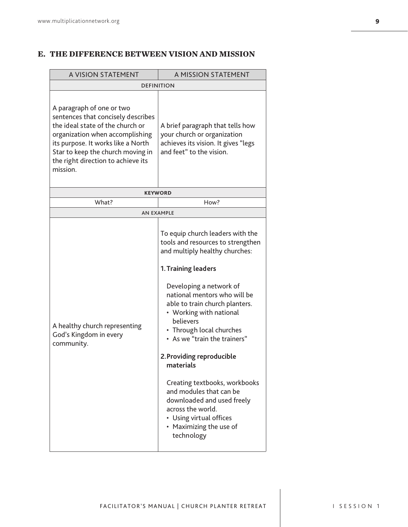#### **E. THE DIFFERENCE BETWEEN VISION AND MISSION**

| A VISION STATEMENT                                                                                                                                                                                                                                                  | A MISSION STATEMENT                                                                                                                                                                                                                                                                                                                                                                                                                                                                                                                                          |  |  |
|---------------------------------------------------------------------------------------------------------------------------------------------------------------------------------------------------------------------------------------------------------------------|--------------------------------------------------------------------------------------------------------------------------------------------------------------------------------------------------------------------------------------------------------------------------------------------------------------------------------------------------------------------------------------------------------------------------------------------------------------------------------------------------------------------------------------------------------------|--|--|
|                                                                                                                                                                                                                                                                     | <b>DEFINITION</b>                                                                                                                                                                                                                                                                                                                                                                                                                                                                                                                                            |  |  |
| A paragraph of one or two<br>sentences that concisely describes<br>the ideal state of the church or<br>organization when accomplishing<br>its purpose. It works like a North<br>Star to keep the church moving in<br>the right direction to achieve its<br>mission. | A brief paragraph that tells how<br>your church or organization<br>achieves its vision. It gives "legs<br>and feet" to the vision.                                                                                                                                                                                                                                                                                                                                                                                                                           |  |  |
|                                                                                                                                                                                                                                                                     | <b>KEYWORD</b>                                                                                                                                                                                                                                                                                                                                                                                                                                                                                                                                               |  |  |
| What?                                                                                                                                                                                                                                                               | How?                                                                                                                                                                                                                                                                                                                                                                                                                                                                                                                                                         |  |  |
|                                                                                                                                                                                                                                                                     | <b>AN EXAMPLE</b>                                                                                                                                                                                                                                                                                                                                                                                                                                                                                                                                            |  |  |
| A healthy church representing<br>God's Kingdom in every<br>community.                                                                                                                                                                                               | To equip church leaders with the<br>tools and resources to strengthen<br>and multiply healthy churches:<br>1. Training leaders<br>Developing a network of<br>national mentors who will be<br>able to train church planters.<br>• Working with national<br>believers<br>• Through local churches<br>• As we "train the trainers"<br>2. Providing reproducible<br>materials<br>Creating textbooks, workbooks<br>and modules that can be<br>downloaded and used freely<br>across the world.<br>• Using virtual offices<br>• Maximizing the use of<br>technology |  |  |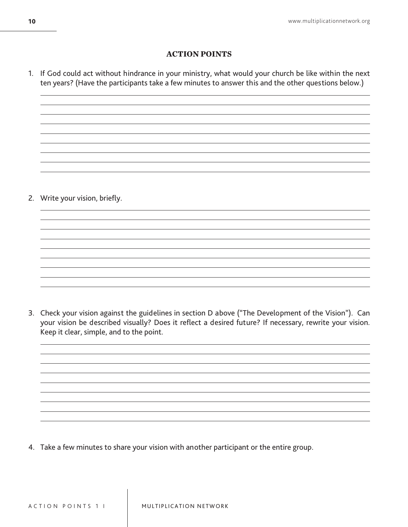#### **ACTION POINTS**

1. If God could act without hindrance in your ministry, what would your church be like within the next ten years? (Have the participants take a few minutes to answer this and the other questions below.)

2. Write your vision, briefly.

3. Check your vision against the guidelines in section D above ("The Development of the Vision"). Can your vision be described visually? Does it reflect a desired future? If necessary, rewrite your vision. Keep it clear, simple, and to the point.

4. Take a few minutes to share your vision with another participant or the entire group.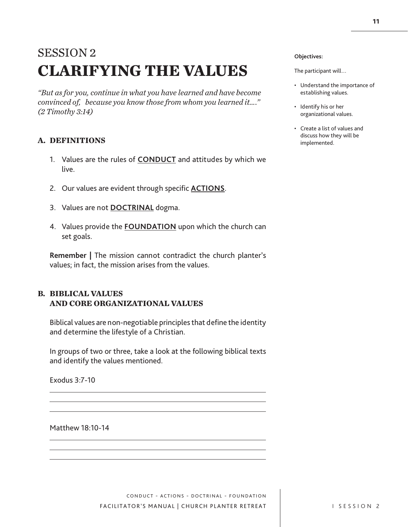### SESSION 2 **CLARIFYING THE VALUES**

*"But as for you, continue in what you have learned and have become convinced of, because you know those from whom you learned it…." (2 Timothy 3:14)*

#### **A. DEFINITIONS**

- 1. Values are the rules of **CONDUCT** and attitudes by which we live.
- 2. Our values are evident through specific **ACTIONS**.
- 3. Values are not **DOCTRINAL** dogma.
- 4. Values provide the **FOUNDATION** upon which the church can set goals.

**Remember |** The mission cannot contradict the church planter's values; in fact, the mission arises from the values.

#### **B. BIBLICAL VALUES AND CORE ORGANIZATIONAL VALUES**

Biblical values are non-negotiable principles that define the identity and determine the lifestyle of a Christian.

In groups of two or three, take a look at the following biblical texts and identify the values mentioned.

Exodus 3:7-10

Matthew 18:10-14

The participant will…

- Understand the importance of establishing values.
- Identify his or her organizational values.
- Create a list of values and discuss how they will be implemented.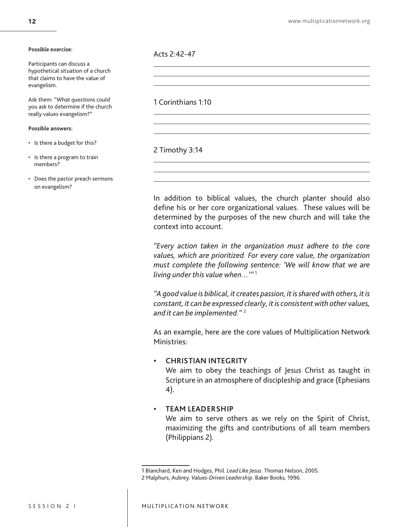#### **Possible exercise:**

Participants can discuss a hypothetical situation of a church that claims to have the value of evangelism.

Ask them: "What questions could you ask to determine if the church really values evangelism?"

**Possible answers:**

- Is there a budget for this?
- Is there a program to train members?
- Does the pastor preach sermons on evangelism?

Acts 2:42-47

1 Corinthians 1:10

2 Timothy 3:14

In addition to biblical values, the church planter should also define his or her core organizational values. These values will be determined by the purposes of the new church and will take the context into account.

*"Every action taken in the organization must adhere to the core values, which are prioritized. For every core value, the organization must complete the following sentence: 'We will know that we are living under this value when…'"* <sup>1</sup>

*"A good value is biblical, it creates passion, it is shared with others, it is constant, it can be expressed clearly, it is consistent with other values, and it can be implemented."* <sup>2</sup>

As an example, here are the core values of Multiplication Network Ministries:

#### **• CHRISTIAN INTEGRITY**

We aim to obey the teachings of Jesus Christ as taught in Scripture in an atmosphere of discipleship and grace (Ephesians 4).

#### **• TEAM LEADERSHIP**

We aim to serve others as we rely on the Spirit of Christ, maximizing the gifts and contributions of all team members (Philippians 2).

<sup>1</sup> Blanchard, Ken and Hodges, Phil. *Lead Like Jesus*. Thomas Nelson, 2005.

<sup>2</sup> Malphurs, Aubrey. *Values-Driven Leadership*. Baker Books, 1996.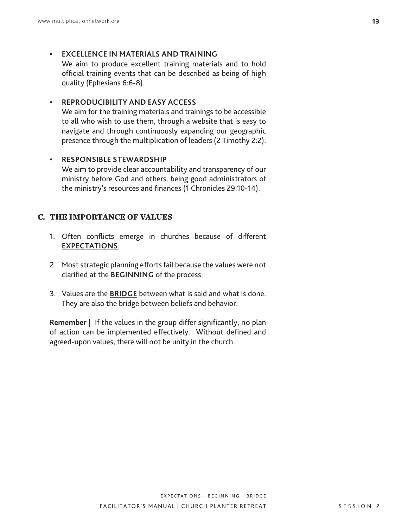#### **• EXCELLENCE IN MATERIALS AND TRAINING**

We aim to produce excellent training materials and to hold official training events that can be described as being of high quality (Ephesians 6:6-8).

#### **• REPRODUCIBILITY AND EASY ACCESS**

We aim for the training materials and trainings to be accessible to all who wish to use them, through a website that is easy to navigate and through continuously expanding our geographic presence through the multiplication of leaders (2 Timothy 2:2).

#### **• RESPONSIBLE STEWARDSHIP**

We aim to provide clear accountability and transparency of our ministry before God and others, being good administrators of the ministry's resources and finances (1 Chronicles 29:10-14).

#### **C. THE IMPORTANCE OF VALUES**

- 1. Often conflicts emerge in churches because of different **EXPECTATIONS**.
- 2. Most strategic planning efforts fail because the values were not clarified at the **BEGINNING** of the process.
- 3. Values are the **BRIDGE** between what is said and what is done. They are also the bridge between beliefs and behavior.

**Remember |** If the values in the group differ significantly, no plan of action can be implemented effectively. Without defined and agreed-upon values, there will not be unity in the church.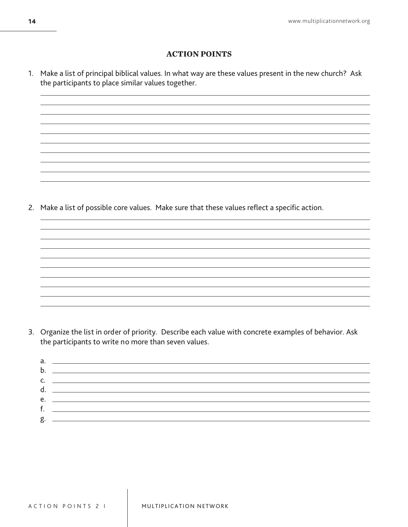#### **ACTION POINTS**

1. Make a list of principal biblical values. In what way are these values present in the new church? Ask the participants to place similar values together.

2. Make a list of possible core values. Make sure that these values reflect a specific action.

3. Organize the list in order of priority. Describe each value with concrete examples of behavior. Ask the participants to write no more than seven values.

| $C_{\rm t}$ and $C_{\rm t}$ are the contract of the contract of the contract of the contract of the contract of the contract of the contract of the contract of the contract of the contract of the contract of the contract of the |
|-------------------------------------------------------------------------------------------------------------------------------------------------------------------------------------------------------------------------------------|
|                                                                                                                                                                                                                                     |
| $e.$ $\overline{\phantom{a}}$                                                                                                                                                                                                       |
|                                                                                                                                                                                                                                     |
| $g.$ $\qquad$                                                                                                                                                                                                                       |
|                                                                                                                                                                                                                                     |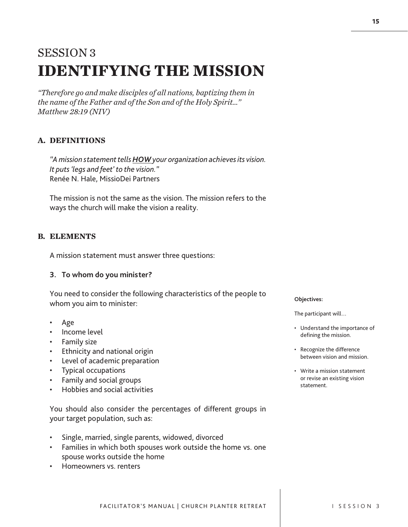### SESSION 3 **IDENTIFYING THE MISSION**

*"Therefore go and make disciples of all nations, baptizing them in the name of the Father and of the Son and of the Holy Spirit…" Matthew 28:19 (NIV)*

#### **A. DEFINITIONS**

*"A mission statement tells HOW your organization achieves its vision. It puts 'legs and feet' to the vision."*  Renée N. Hale, MissioDei Partners

The mission is not the same as the vision. The mission refers to the ways the church will make the vision a reality.

#### **B. ELEMENTS**

A mission statement must answer three questions:

#### **3. To whom do you minister?**

You need to consider the following characteristics of the people to whom you aim to minister:

- Age
- Income level
- Family size
- Ethnicity and national origin
- Level of academic preparation
- Typical occupations
- Family and social groups
- Hobbies and social activities

You should also consider the percentages of different groups in your target population, such as:

- Single, married, single parents, widowed, divorced
- Families in which both spouses work outside the home vs. one spouse works outside the home
- Homeowners vs. renters

#### **Objectives:**

The participant will…

- Understand the importance of defining the mission.
- Recognize the difference between vision and mission.
- Write a mission statement or revise an existing vision statement.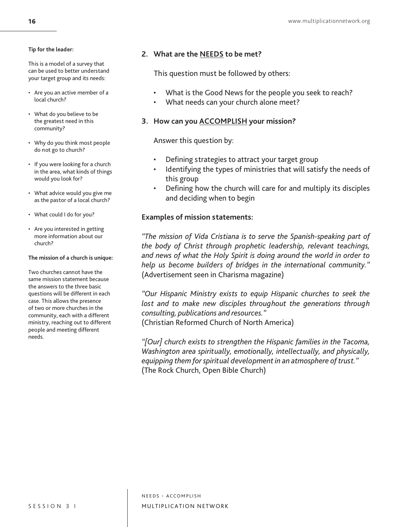#### **Tip for the leader:**

This is a model of a survey that can be used to better understand your target group and its needs:

- Are you an active member of a local church?
- What do you believe to be the greatest need in this community?
- Why do you think most people do not go to church?
- If you were looking for a church in the area, what kinds of things would you look for?
- What advice would you give me as the pastor of a local church?
- What could I do for you?
- Are you interested in getting more information about our church?

#### **The mission of a church is unique:**

Two churches cannot have the same mission statement because the answers to the three basic questions will be different in each case. This allows the presence of two or more churches in the community, each with a different ministry, reaching out to different people and meeting different needs.

#### **2. What are the NEEDS to be met?**

This question must be followed by others:

- What is the Good News for the people you seek to reach?
- What needs can your church alone meet?

#### **3. How can you ACCOMPLISH your mission?**

Answer this question by:

- Defining strategies to attract your target group
- Identifying the types of ministries that will satisfy the needs of this group
- Defining how the church will care for and multiply its disciples and deciding when to begin

#### **Examples of mission statements:**

*"The mission of Vida Cristiana is to serve the Spanish-speaking part of the body of Christ through prophetic leadership, relevant teachings, and news of what the Holy Spirit is doing around the world in order to help us become builders of bridges in the international community."* (Advertisement seen in Charisma magazine)

*"Our Hispanic Ministry exists to equip Hispanic churches to seek the lost and to make new disciples throughout the generations through consulting, publications and resources."*  (Christian Reformed Church of North America)

*"[Our] church exists to strengthen the Hispanic families in the Tacoma, Washington area spiritually, emotionally, intellectually, and physically, equipping them for spiritual development in an atmosphere of trust."* (The Rock Church, Open Bible Church)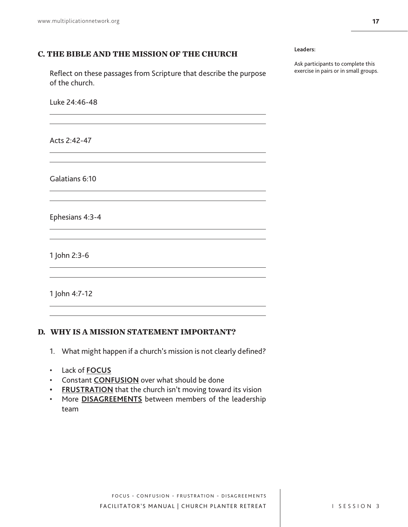#### **C. THE BIBLE AND THE MISSION OF THE CHURCH**

Reflect on these passages from Scripture that describe the purpose of the church.

Luke 24:46-48

Acts 2:42-47

Galatians 6:10

Ephesians 4:3-4

1 John 2:3-6

1 John 4:7-12

#### **D. WHY IS A MISSION STATEMENT IMPORTANT?**

- 1. What might happen if a church's mission is not clearly defined?
- Lack of **FOCUS**
- Constant **CONFUSION** over what should be done
- **• FRUSTRATION** that the church isn't moving toward its vision
- More **DISAGREEMENTS** between members of the leadership team

**Leaders:** 

Ask participants to complete this exercise in pairs or in small groups.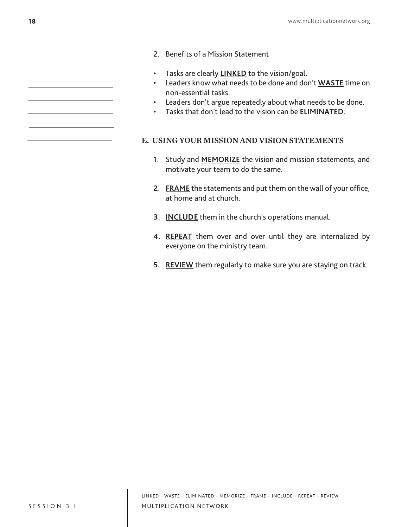- 2. Benefits of a Mission Statement
- Tasks are clearly **LINKED** to the vision/goal.
- Leaders know what needs to be done and don't **WASTE** time on non-essential tasks.
- Leaders don't argue repeatedly about what needs to be done.
- Tasks that don't lead to the vision can be **ELIMINATED**.

#### E. USING YOUR MISSION AND VISION STATEMENTS

- 1. Study and **MEMORIZE** the vision and mission statements, and motivate your team to do the same.
- **2. FRAME** the statements and put them on the wall of your office, at home and at church.
- **3. INCLUDE** them in the church's operations manual.
- **4. REPEAT** them over and over until they are internalized by everyone on the ministry team.
- **5. REVIEW** them regularly to make sure you are staying on track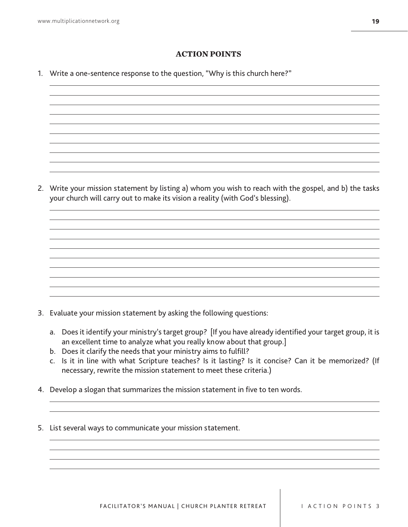#### **ACTION POINTS**

1. Write a one-sentence response to the question, "Why is this church here?"

2. Write your mission statement by listing a) whom you wish to reach with the gospel, and b) the tasks your church will carry out to make its vision a reality (with God's blessing).

- 3. Evaluate your mission statement by asking the following questions:
	- a. Does it identify your ministry's target group? [If you have already identified your target group, it is an excellent time to analyze what you really know about that group.]
	- b. Does it clarify the needs that your ministry aims to fulfill?
	- c. Is it in line with what Scripture teaches? Is it lasting? Is it concise? Can it be memorized? (If necessary, rewrite the mission statement to meet these criteria.)
- 4. Develop a slogan that summarizes the mission statement in five to ten words.
- 5. List several ways to communicate your mission statement.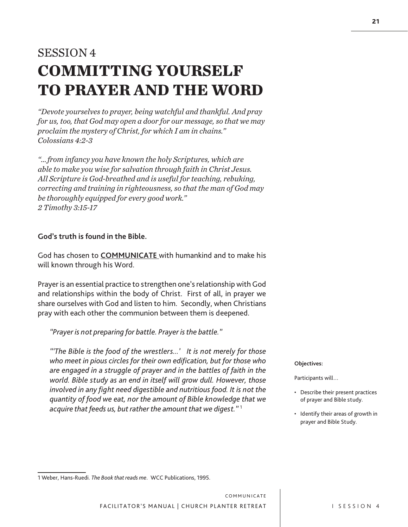### SESSION 4 **COMMITTING YOURSELF TO PRAYER AND THE WORD**

*"Devote yourselves to prayer, being watchful and thankful. And pray for us, too, that God may open a door for our message, so that we may proclaim the mystery of Christ, for which I am in chains." Colossians 4:2-3*

*"…from infancy you have known the holy Scriptures, which are able to make you wise for salvation through faith in Christ Jesus. All Scripture is God-breathed and is useful for teaching, rebuking, correcting and training in righteousness, so that the man of God may be thoroughly equipped for every good work." 2 Timothy 3:15-17*

#### **God's truth is found in the Bible.**

God has chosen to **COMMUNICATE** with humankind and to make his will known through his Word.

Prayer is an essential practice to strengthen one's relationship with God and relationships within the body of Christ. First of all, in prayer we share ourselves with God and listen to him. Secondly, when Christians pray with each other the communion between them is deepened.

*"Prayer is not preparing for battle. Prayer is the battle."*

*"'The Bible is the food of the wrestlers...' It is not merely for those who meet in pious circles for their own edification, but for those who are engaged in a struggle of prayer and in the battles of faith in the world. Bible study as an end in itself will grow dull. However, those involved in any fight need digestible and nutritious food. It is not the quantity of food we eat, nor the amount of Bible knowledge that we acquire that feeds us, but rather the amount that we digest."* <sup>1</sup>

#### **Objectives:**

Participants will…

- Describe their present practices of prayer and Bible study.
- Identify their areas of growth in prayer and Bible Study.

<sup>1</sup> Weber, Hans-Ruedi. *The Book that reads me*. WCC Publications, 1995.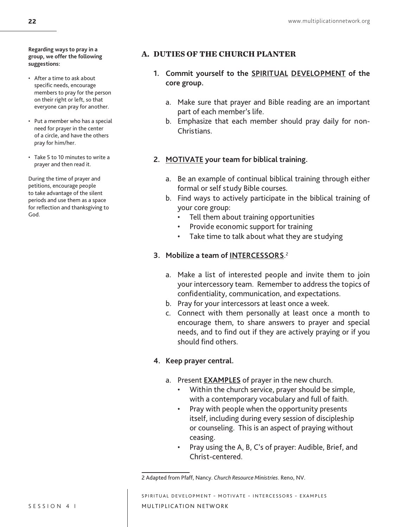**Regarding ways to pray in a group, we offer the following suggestions:**

- After a time to ask about specific needs, encourage members to pray for the person on their right or left, so that everyone can pray for another.
- Put a member who has a special need for prayer in the center of a circle, and have the others pray for him/her.
- Take 5 to 10 minutes to write a prayer and then read it.

During the time of prayer and petitions, encourage people to take advantage of the silent periods and use them as a space for reflection and thanksgiving to God.

#### **A. DUTIES OF THE CHURCH PLANTER**

- **1. Commit yourself to the SPIRITUAL DEVELOPMENT of the core group.**
	- a. Make sure that prayer and Bible reading are an important part of each member's life.
	- b. Emphasize that each member should pray daily for non-Christians.
- **2. MOTIVATE your team for biblical training.**
	- a. Be an example of continual biblical training through either formal or self study Bible courses.
	- b. Find ways to actively participate in the biblical training of your core group:
		- Tell them about training opportunities
		- Provide economic support for training
		- Take time to talk about what they are studying

#### **3. Mobilize a team of INTERCESSORS**. 2

- a. Make a list of interested people and invite them to join your intercessory team. Remember to address the topics of confidentiality, communication, and expectations.
- b. Pray for your intercessors at least once a week.
- c. Connect with them personally at least once a month to encourage them, to share answers to prayer and special needs, and to find out if they are actively praying or if you should find others.

#### **4. Keep prayer central.**

- a. Present **EXAMPLES** of prayer in the new church.
	- Within the church service, prayer should be simple, with a contemporary vocabulary and full of faith.
	- Pray with people when the opportunity presents itself, including during every session of discipleship or counseling. This is an aspect of praying without ceasing.
	- Pray using the A, B, C's of prayer: Audible, Brief, and Christ-centered.

<sup>2</sup> Adapted from Pfaff, Nancy. *Church Resource Ministries*. Reno, NV.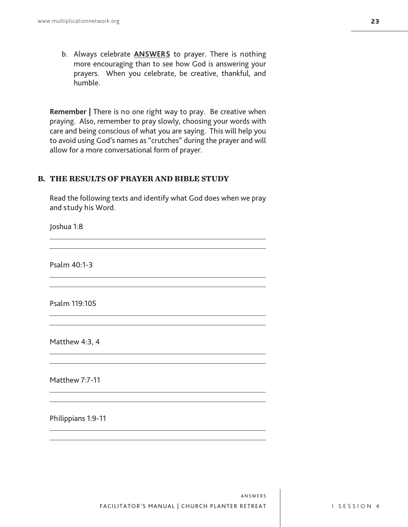b. Always celebrate **ANSWERS** to prayer. There is nothing more encouraging than to see how God is answering your prayers. When you celebrate, be creative, thankful, and humble.

**Remember |** There is no one right way to pray. Be creative when praying. Also, remember to pray slowly, choosing your words with care and being conscious of what you are saying. This will help you to avoid using God's names as "crutches" during the prayer and will allow for a more conversational form of prayer.

#### **B. THE RESULTS OF PRAYER AND BIBLE STUDY**

Read the following texts and identify what God does when we pray and study his Word.

Joshua 1:8

Psalm 40:1-3

Psalm 119:105

Matthew 4:3, 4

Matthew 7:7-11

Philippians 1:9-11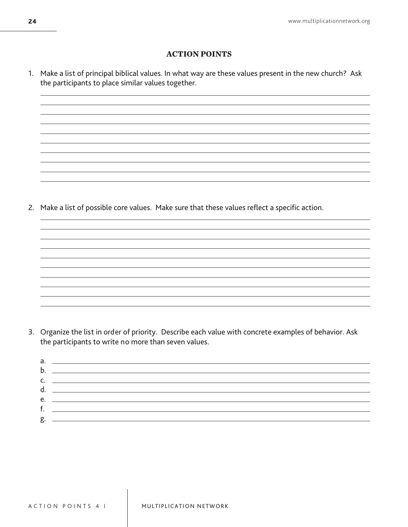#### **ACTION POINTS**

1. Make a list of principal biblical values. In what way are these values present in the new church? Ask the participants to place similar values together.

2. Make a list of possible core values. Make sure that these values reflect a specific action.

3. Organize the list in order of priority. Describe each value with concrete examples of behavior. Ask the participants to write no more than seven values.

| $C_{\rm t}$ and $C_{\rm t}$ are the contract of the contract of the contract of the contract of the contract of the contract of the contract of the contract of the contract of the contract of the contract of the contract of the |
|-------------------------------------------------------------------------------------------------------------------------------------------------------------------------------------------------------------------------------------|
|                                                                                                                                                                                                                                     |
| $e.$ $\overline{\phantom{a}}$                                                                                                                                                                                                       |
|                                                                                                                                                                                                                                     |
| $g.$ $\qquad$                                                                                                                                                                                                                       |
|                                                                                                                                                                                                                                     |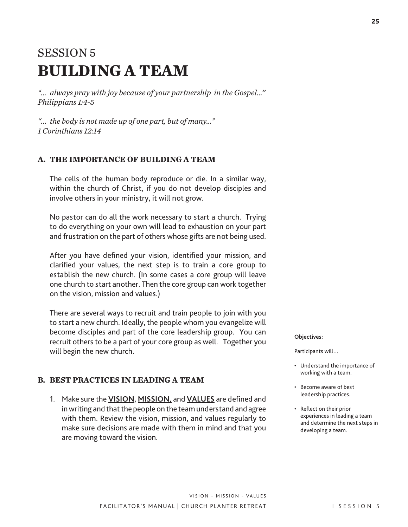### SESSION 5 **BUILDING A TEAM**

*"… always pray with joy because of your partnership in the Gospel..." Philippians 1:4-5*

*"... the body is not made up of one part, but of many…" 1 Corinthians 12:14* 

#### **A. THE IMPORTANCE OF BUILDING A TEAM**

The cells of the human body reproduce or die. In a similar way, within the church of Christ, if you do not develop disciples and involve others in your ministry, it will not grow.

No pastor can do all the work necessary to start a church. Trying to do everything on your own will lead to exhaustion on your part and frustration on the part of others whose gifts are not being used.

After you have defined your vision, identified your mission, and clarified your values, the next step is to train a core group to establish the new church. (In some cases a core group will leave one church to start another. Then the core group can work together on the vision, mission and values.)

There are several ways to recruit and train people to join with you to start a new church. Ideally, the people whom you evangelize will become disciples and part of the core leadership group. You can recruit others to be a part of your core group as well. Together you will begin the new church.

#### **B. BEST PRACTICES IN LEADING A TEAM**

1. Make sure the **VISION**, **MISSION,** and **VALUES** are defined and in writing and that the people on the team understand and agree with them. Review the vision, mission, and values regularly to make sure decisions are made with them in mind and that you are moving toward the vision.

#### **Objectives:**

Participants will…

- Understand the importance of working with a team.
- Become aware of best leadership practices.
- Reflect on their prior experiences in leading a team and determine the next steps in developing a team.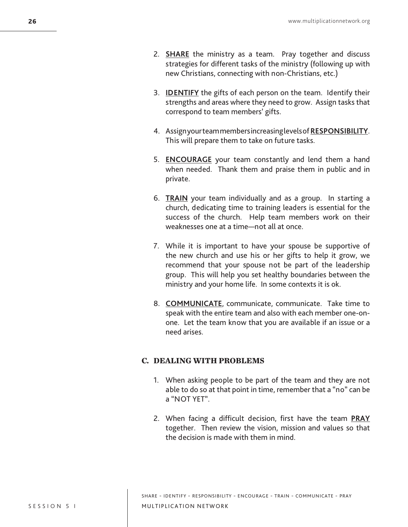- 2. **SHARE** the ministry as a team. Pray together and discuss strategies for different tasks of the ministry (following up with new Christians, connecting with non-Christians, etc.)
- 3. **IDENTIFY** the gifts of each person on the team. Identify their strengths and areas where they need to grow. Assign tasks that correspond to team members' gifts.
- 4. Assign your team members increasing levels of **RESPONSIBILITY**. This will prepare them to take on future tasks.
- 5. **ENCOURAGE** your team constantly and lend them a hand when needed. Thank them and praise them in public and in private.
- 6. **TRAIN** your team individually and as a group. In starting a church, dedicating time to training leaders is essential for the success of the church. Help team members work on their weaknesses one at a time—not all at once.
- 7. While it is important to have your spouse be supportive of the new church and use his or her gifts to help it grow, we recommend that your spouse not be part of the leadership group. This will help you set healthy boundaries between the ministry and your home life. In some contexts it is ok.
- 8. **COMMUNICATE**, communicate, communicate. Take time to speak with the entire team and also with each member one-onone. Let the team know that you are available if an issue or a need arises.

#### **C. DEALING WITH PROBLEMS**

- 1. When asking people to be part of the team and they are not able to do so at that point in time, remember that a "no" can be a "NOT YET".
- 2. When facing a difficult decision, first have the team **PRAY**  together. Then review the vision, mission and values so that the decision is made with them in mind.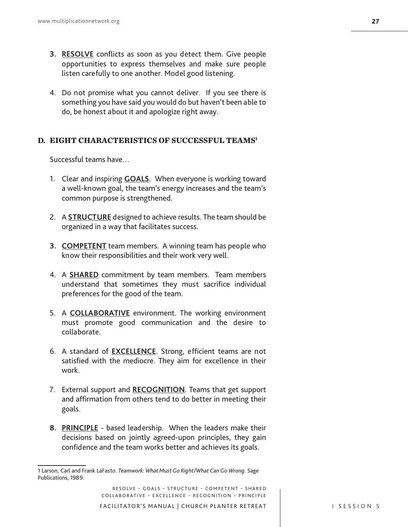- **3. RESOLVE** conflicts as soon as you detect them. Give people opportunities to express themselves and make sure people listen carefully to one another. Model good listening.
- 4. Do not promise what you cannot deliver. If you see there is something you have said you would do but haven't been able to do, be honest about it and apologize right away.

#### **D. EIGHT CHARACTERISTICS OF SUCCESSFUL TEAMS1**

Successful teams have…

- 1. Clear and inspiring **GOALS**. When everyone is working toward a well-known goal, the team's energy increases and the team's common purpose is strengthened.
- 2. A **STRUCTURE** designed to achieve results. The team should be organized in a way that facilitates success.
- **3. COMPETENT** team members. A winning team has people who know their responsibilities and their work very well.
- 4. A **SHARED** commitment by team members. Team members understand that sometimes they must sacrifice individual preferences for the good of the team.
- 5. A **COLLABORATIVE** environment. The working environment must promote good communication and the desire to collaborate.
- 6. A standard of **EXCELLENCE**. Strong, efficient teams are not satisfied with the mediocre. They aim for excellence in their work.
- 7. External support and **RECOGNITION**. Teams that get support and affirmation from others tend to do better in meeting their goals.
- **8. PRINCIPLE** based leadership. When the leaders make their decisions based on jointly agreed-upon principles, they gain confidence and the team works better and achieves its goals.

<sup>1</sup> Larson, Carl and Frank LaFasto. *Teamwork: What Must Go Right/What Can Go Wrong*. Sage Publications, 1989.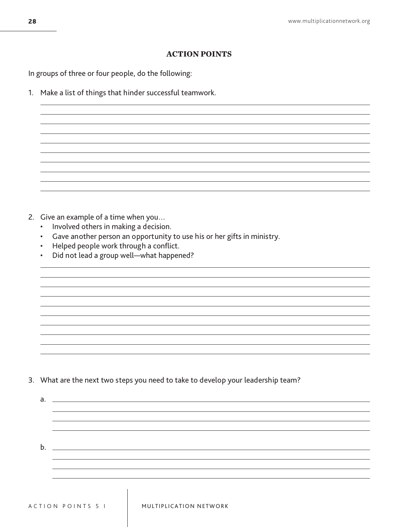#### **ACTION POINTS**

In groups of three or four people, do the following:

- 1. Make a list of things that hinder successful teamwork.
- 2. Give an example of a time when you… • Involved others in making a decision. • Gave another person an opportunity to use his or her gifts in ministry. • Helped people work through a conflict. • Did not lead a group well—what happened? 3. What are the next two steps you need to take to develop your leadership team? a. b.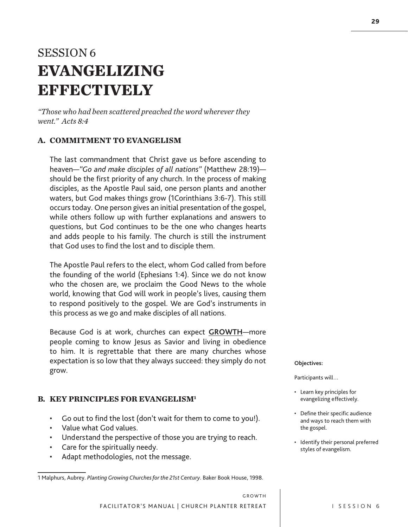## SESSION 6 **EVANGELIZING EFFECTIVELY**

*"Those who had been scattered preached the word wherever they went." Acts 8:4*

#### **A. COMMITMENT TO EVANGELISM**

The last commandment that Christ gave us before ascending to heaven—*"Go and make disciples of all nations"* (Matthew 28:19) should be the first priority of any church. In the process of making disciples, as the Apostle Paul said, one person plants and another waters, but God makes things grow (1Corinthians 3:6-7). This still occurs today. One person gives an initial presentation of the gospel, while others follow up with further explanations and answers to questions, but God continues to be the one who changes hearts and adds people to his family. The church is still the instrument that God uses to find the lost and to disciple them.

The Apostle Paul refers to the elect, whom God called from before the founding of the world (Ephesians 1:4). Since we do not know who the chosen are, we proclaim the Good News to the whole world, knowing that God will work in people's lives, causing them to respond positively to the gospel. We are God's instruments in this process as we go and make disciples of all nations.

Because God is at work, churches can expect **GROWTH**—more people coming to know Jesus as Savior and living in obedience to him. It is regrettable that there are many churches whose expectation is so low that they always succeed: they simply do not grow.

#### **B. KEY PRINCIPLES FOR EVANGELISM1**

- Go out to find the lost (don't wait for them to come to you!).
- Value what God values.
- Understand the perspective of those you are trying to reach.
- Care for the spiritually needy.
- Adapt methodologies, not the message.

#### **Objectives:**

Participants will…

- Learn key principles for evangelizing effectively.
- Define their specific audience and ways to reach them with the gospel.
- Identify their personal preferred styles of evangelism.

<sup>1</sup> Malphurs, Aubrey. *Planting Growing Churches for the 21st Century*. Baker Book House, 1998.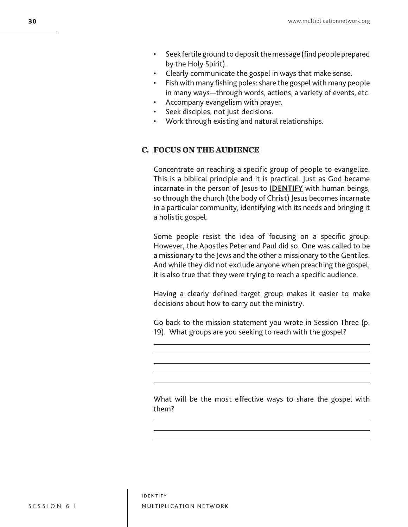- Seek fertile ground to deposit the message (find people prepared by the Holy Spirit).
- Clearly communicate the gospel in ways that make sense.
- Fish with many fishing poles: share the gospel with many people in many ways—through words, actions, a variety of events, etc.
- Accompany evangelism with prayer.
- Seek disciples, not just decisions.
- Work through existing and natural relationships.

#### **C. FOCUS ON THE AUDIENCE**

Concentrate on reaching a specific group of people to evangelize. This is a biblical principle and it is practical. Just as God became incarnate in the person of Jesus to **IDENTIFY** with human beings, so through the church (the body of Christ) Jesus becomes incarnate in a particular community, identifying with its needs and bringing it a holistic gospel.

Some people resist the idea of focusing on a specific group. However, the Apostles Peter and Paul did so. One was called to be a missionary to the Jews and the other a missionary to the Gentiles. And while they did not exclude anyone when preaching the gospel, it is also true that they were trying to reach a specific audience.

Having a clearly defined target group makes it easier to make decisions about how to carry out the ministry.

Go back to the mission statement you wrote in Session Three (p. 19). What groups are you seeking to reach with the gospel?

What will be the most effective ways to share the gospel with them?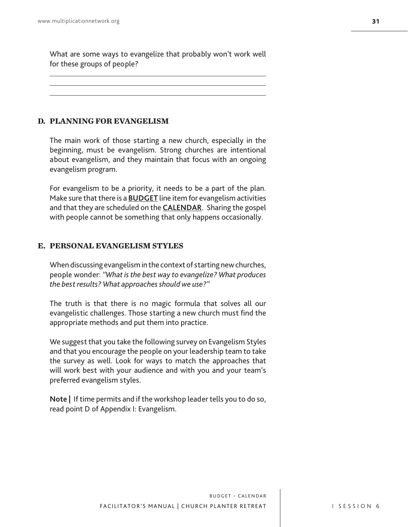What are some ways to evangelize that probably won't work well for these groups of people?

#### **D. PLANNING FOR EVANGELISM**

The main work of those starting a new church, especially in the beginning, must be evangelism. Strong churches are intentional about evangelism, and they maintain that focus with an ongoing evangelism program.

For evangelism to be a priority, it needs to be a part of the plan. Make sure that there is a **BUDGET** line item for evangelism activities and that they are scheduled on the **CALENDAR**. Sharing the gospel with people cannot be something that only happens occasionally.

#### **E. PERSONAL EVANGELISM STYLES**

When discussing evangelism in the context of starting new churches, people wonder: *"What is the best way to evangelize? What produces the best results? What approaches should we use?"*

The truth is that there is no magic formula that solves all our evangelistic challenges. Those starting a new church must find the appropriate methods and put them into practice.

We suggest that you take the following survey on Evangelism Styles and that you encourage the people on your leadership team to take the survey as well. Look for ways to match the approaches that will work best with your audience and with you and your team's preferred evangelism styles.

**Note |** If time permits and if the workshop leader tells you to do so, read point D of Appendix I: Evangelism.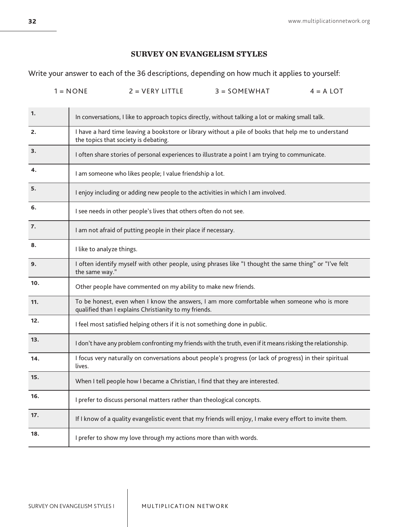#### **SURVEY ON EVANGELISM STYLES**

Write your answer to each of the 36 descriptions, depending on how much it applies to yourself:

|  | $1 = NONE$ | $2 = VERY LITTLE$ | $3 = SOMEWHAT$ | $4 = A$ LOT |
|--|------------|-------------------|----------------|-------------|
|--|------------|-------------------|----------------|-------------|

| 1.  | In conversations, I like to approach topics directly, without talking a lot or making small talk.                                                   |
|-----|-----------------------------------------------------------------------------------------------------------------------------------------------------|
| 2.  | I have a hard time leaving a bookstore or library without a pile of books that help me to understand<br>the topics that society is debating.        |
| 3.  | I often share stories of personal experiences to illustrate a point I am trying to communicate.                                                     |
| 4.  | I am someone who likes people; I value friendship a lot.                                                                                            |
| 5.  | I enjoy including or adding new people to the activities in which I am involved.                                                                    |
| 6.  | I see needs in other people's lives that others often do not see.                                                                                   |
| 7.  | I am not afraid of putting people in their place if necessary.                                                                                      |
| 8.  | I like to analyze things.                                                                                                                           |
| 9.  | I often identify myself with other people, using phrases like "I thought the same thing" or "I've felt<br>the same way."                            |
|     |                                                                                                                                                     |
| 10. | Other people have commented on my ability to make new friends.                                                                                      |
| 11. | To be honest, even when I know the answers, I am more comfortable when someone who is more<br>qualified than I explains Christianity to my friends. |
| 12. | I feel most satisfied helping others if it is not something done in public.                                                                         |
| 13. | I don't have any problem confronting my friends with the truth, even if it means risking the relationship.                                          |
| 14. | I focus very naturally on conversations about people's progress (or lack of progress) in their spiritual<br>lives.                                  |
| 15. | When I tell people how I became a Christian, I find that they are interested.                                                                       |
| 16. | I prefer to discuss personal matters rather than theological concepts.                                                                              |
| 17. | If I know of a quality evangelistic event that my friends will enjoy, I make every effort to invite them.                                           |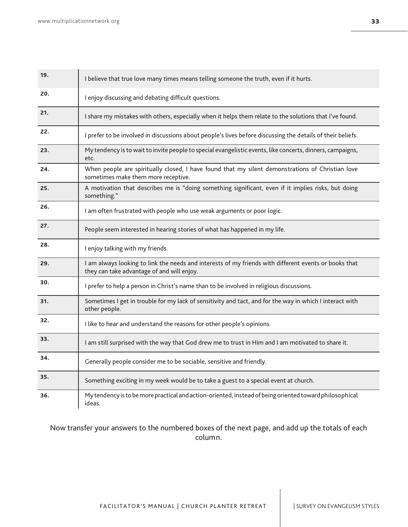| 19. | I believe that true love many times means telling someone the truth, even if it hurts.                                                              |  |  |  |
|-----|-----------------------------------------------------------------------------------------------------------------------------------------------------|--|--|--|
| 20. | I enjoy discussing and debating difficult questions.                                                                                                |  |  |  |
| 21. | I share my mistakes with others, especially when it helps them relate to the solutions that I've found.                                             |  |  |  |
| 22. | I prefer to be involved in discussions about people's lives before discussing the details of their beliefs.                                         |  |  |  |
| 23. | My tendency is to wait to invite people to special evangelistic events, like concerts, dinners, campaigns,<br>etc.                                  |  |  |  |
| 24. | When people are spiritually closed, I have found that my silent demonstrations of Christian love<br>sometimes make them more receptive.             |  |  |  |
| 25. | A motivation that describes me is "doing something significant, even if it implies risks, but doing<br>something."                                  |  |  |  |
| 26. | I am often frustrated with people who use weak arguments or poor logic.                                                                             |  |  |  |
| 27. | People seem interested in hearing stories of what has happened in my life.                                                                          |  |  |  |
| 28. | I enjoy talking with my friends.                                                                                                                    |  |  |  |
|     |                                                                                                                                                     |  |  |  |
| 29. | I am always looking to link the needs and interests of my friends with different events or books that<br>they can take advantage of and will enjoy. |  |  |  |
| 30. | I prefer to help a person in Christ's name than to be involved in religious discussions.                                                            |  |  |  |
| 31. | Sometimes I get in trouble for my lack of sensitivity and tact, and for the way in which I interact with<br>other people.                           |  |  |  |
| 32. | I like to hear and understand the reasons for other people's opinions.                                                                              |  |  |  |
| 33. | I am still surprised with the way that God drew me to trust in Him and I am motivated to share it.                                                  |  |  |  |
| 34. | Generally people consider me to be sociable, sensitive and friendly.                                                                                |  |  |  |
| 35. | Something exciting in my week would be to take a guest to a special event at church.                                                                |  |  |  |

Now transfer your answers to the numbered boxes of the next page, and add up the totals of each column.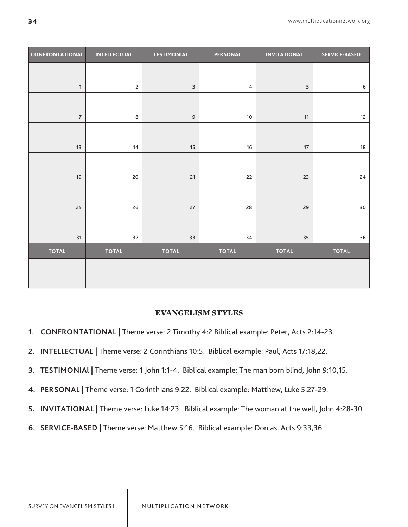| <b>CONFRONTATIONAL</b> | <b>INTELLECTUAL</b> | <b>TESTIMONIAL</b> | <b>PERSONAL</b>         | <b>INVITATIONAL</b> | <b>SERVICE-BASED</b> |
|------------------------|---------------------|--------------------|-------------------------|---------------------|----------------------|
|                        |                     |                    |                         |                     |                      |
| $\mathbf{1}$           | $\mathsf{2}$        | $\mathsf 3$        | $\overline{\mathbf{4}}$ | $\sqrt{5}$          | $\,$ 6 $\,$          |
|                        |                     |                    |                         |                     |                      |
| $\sqrt{7}$             | $\bf 8$             | $\mathsf 9$        | $10\,$                  | 11                  | $12$                 |
|                        |                     |                    |                         |                     |                      |
| 13                     | $14\,$              | 15                 | $16\,$                  | 17                  | $18\,$               |
|                        |                     |                    |                         |                     |                      |
| 19                     | 20                  | 21                 | 22                      | 23                  | ${\bf 24}$           |
|                        |                     |                    |                         |                     |                      |
| $25\,$                 | 26                  | 27                 | 28                      | 29                  | $30\,$               |
|                        |                     |                    |                         |                     |                      |
| 31                     | $32\,$              | $33\,$             | 34                      | 35                  | 36                   |
| <b>TOTAL</b>           | <b>TOTAL</b>        | <b>TOTAL</b>       | <b>TOTAL</b>            | <b>TOTAL</b>        | <b>TOTAL</b>         |
|                        |                     |                    |                         |                     |                      |
|                        |                     |                    |                         |                     |                      |

#### **EVANGELISM STYLES**

- **1. CONFRONTATIONAL |** Theme verse: 2 Timothy 4:2 Biblical example: Peter, Acts 2:14-23.
- **2. INTELLECTUAL |** Theme verse: 2 Corinthians 10:5. Biblical example: Paul, Acts 17:18,22.
- **3. TESTIMONIAl |** Theme verse: 1 John 1:1-4. Biblical example: The man born blind, John 9:10,15.
- **4. PERSONAL |** Theme verse: 1 Corinthians 9:22. Biblical example: Matthew, Luke 5:27-29.
- **5. INVITATIONAL |** Theme verse: Luke 14:23. Biblical example: The woman at the well, John 4:28-30.
- **6. SERVICE-BASED |** Theme verse: Matthew 5:16. Biblical example: Dorcas, Acts 9:33,36.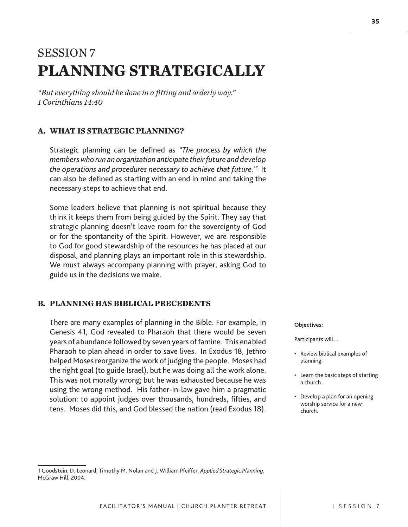### SESSION 7 **PLANNING STRATEGICALLY**

*"But everything should be done in a fitting and orderly way." 1 Corinthians 14:40*

#### **A. WHAT IS STRATEGIC PLANNING?**

Strategic planning can be defined as *"The process by which the members who run an organization anticipate their future and develop the operations and procedures necessary to achieve that future."*<sup>1</sup> It can also be defined as starting with an end in mind and taking the necessary steps to achieve that end.

Some leaders believe that planning is not spiritual because they think it keeps them from being guided by the Spirit. They say that strategic planning doesn't leave room for the sovereignty of God or for the spontaneity of the Spirit. However, we are responsible to God for good stewardship of the resources he has placed at our disposal, and planning plays an important role in this stewardship. We must always accompany planning with prayer, asking God to guide us in the decisions we make.

#### **B. PLANNING HAS BIBLICAL PRECEDENTS**

There are many examples of planning in the Bible. For example, in Genesis 41, God revealed to Pharaoh that there would be seven years of abundance followed by seven years of famine. This enabled Pharaoh to plan ahead in order to save lives. In Exodus 18, Jethro helped Moses reorganize the work of judging the people. Moses had the right goal (to guide Israel), but he was doing all the work alone. This was not morally wrong; but he was exhausted because he was using the wrong method. His father-in-law gave him a pragmatic solution: to appoint judges over thousands, hundreds, fifties, and tens. Moses did this, and God blessed the nation (read Exodus 18).

#### **Objectives:**

Participants will…

- Review biblical examples of planning.
- Learn the basic steps of starting a church.
- Develop a plan for an opening worship service for a new church.

<sup>1</sup> Goodstein, D. Leonard, Timothy M. Nolan and J. William Pfeiffer. *Applied Strategic Planning.*  McGraw Hill, 2004.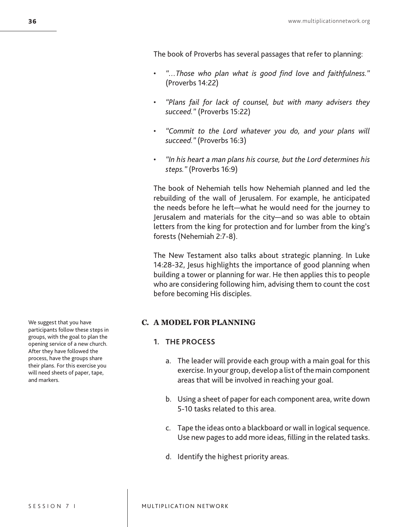The book of Proverbs has several passages that refer to planning:

- *• "…Those who plan what is good find love and faithfulness."*  (Proverbs 14:22)
- *• "Plans fail for lack of counsel, but with many advisers they succeed."* (Proverbs 15:22)
- *• "Commit to the Lord whatever you do, and your plans will succeed."* (Proverbs 16:3)
- *• "In his heart a man plans his course, but the Lord determines his steps."* (Proverbs 16:9)

The book of Nehemiah tells how Nehemiah planned and led the rebuilding of the wall of Jerusalem. For example, he anticipated the needs before he left—what he would need for the journey to Jerusalem and materials for the city—and so was able to obtain letters from the king for protection and for lumber from the king's forests (Nehemiah 2:7-8).

The New Testament also talks about strategic planning. In Luke 14:28-32, Jesus highlights the importance of good planning when building a tower or planning for war. He then applies this to people who are considering following him, advising them to count the cost before becoming His disciples.

#### **C. A MODEL FOR PLANNING**

#### **1. THE PROCESS**

- a. The leader will provide each group with a main goal for this exercise. In your group, develop a list of the main component areas that will be involved in reaching your goal.
- b. Using a sheet of paper for each component area, write down 5-10 tasks related to this area.
- c. Tape the ideas onto a blackboard or wall in logical sequence. Use new pages to add more ideas, filling in the related tasks.
- d. Identify the highest priority areas.

We suggest that you have participants follow these steps in groups, with the goal to plan the opening service of a new church. After they have followed the process, have the groups share their plans. For this exercise you will need sheets of paper, tape, and markers.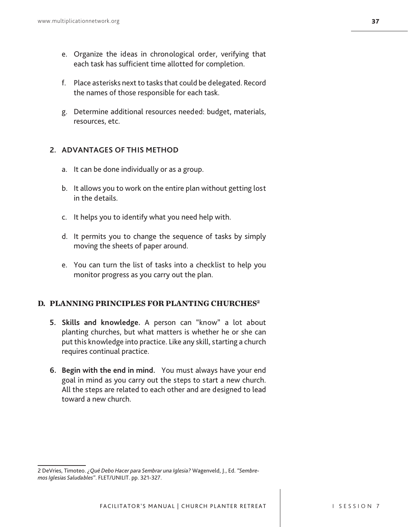- e. Organize the ideas in chronological order, verifying that each task has sufficient time allotted for completion.
- f. Place asterisks next to tasks that could be delegated. Record the names of those responsible for each task.
- g. Determine additional resources needed: budget, materials, resources, etc.

# **2. ADVANTAGES OF THIS METHOD**

- a. It can be done individually or as a group.
- b. It allows you to work on the entire plan without getting lost in the details.
- c. It helps you to identify what you need help with.
- d. It permits you to change the sequence of tasks by simply moving the sheets of paper around.
- e. You can turn the list of tasks into a checklist to help you monitor progress as you carry out the plan.

# **D. PLANNING PRINCIPLES FOR PLANTING CHURCHES2**

- **5. Skills and knowledge.** A person can "know" a lot about planting churches, but what matters is whether he or she can put this knowledge into practice. Like any skill, starting a church requires continual practice.
- **6. Begin with the end in mind.** You must always have your end goal in mind as you carry out the steps to start a new church. All the steps are related to each other and are designed to lead toward a new church.

<sup>2</sup> DeVries, Timoteo. *¿Qué Debo Hacer para Sembrar una Iglesia?* Wagenveld, J., Ed. *"Sembremos Iglesias Saludables"*. FLET/UNILIT. pp. 321-327.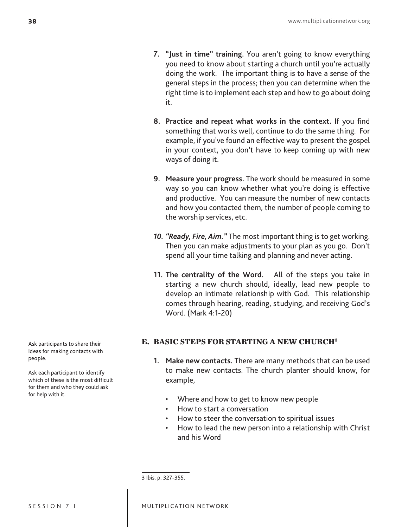- **7. "Just in time" training.** You aren't going to know everything you need to know about starting a church until you're actually doing the work. The important thing is to have a sense of the general steps in the process; then you can determine when the right time is to implement each step and how to go about doing it.
- **8. Practice and repeat what works in the context.** If you find something that works well, continue to do the same thing. For example, if you've found an effective way to present the gospel in your context, you don't have to keep coming up with new ways of doing it.
- **9. Measure your progress.** The work should be measured in some way so you can know whether what you're doing is effective and productive. You can measure the number of new contacts and how you contacted them, the number of people coming to the worship services, etc.
- *10. "Ready, Fire, Aim."* The most important thing is to get working. Then you can make adjustments to your plan as you go. Don't spend all your time talking and planning and never acting.
- **11. The centrality of the Word.** All of the steps you take in starting a new church should, ideally, lead new people to develop an intimate relationship with God. This relationship comes through hearing, reading, studying, and receiving God's Word. (Mark 4:1-20)

### **E. BASIC STEPS FOR STARTING A NEW CHURCH3**

- **1. Make new contacts.** There are many methods that can be used to make new contacts. The church planter should know, for example,
	- Where and how to get to know new people
	- How to start a conversation
	- How to steer the conversation to spiritual issues
	- How to lead the new person into a relationship with Christ and his Word

Ask participants to share their ideas for making contacts with people.

Ask each participant to identify which of these is the most difficult for them and who they could ask for help with it.

<sup>3</sup> Ibis. p. 327-355.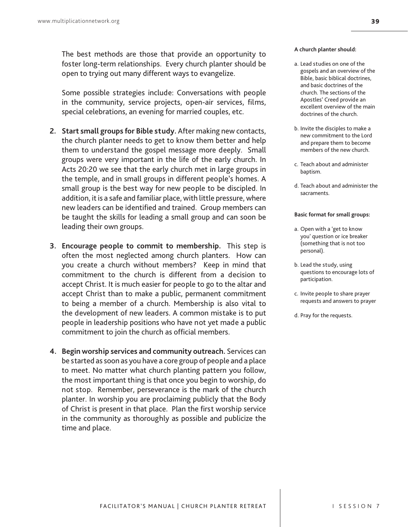The best methods are those that provide an opportunity to foster long-term relationships. Every church planter should be open to trying out many different ways to evangelize.

Some possible strategies include: Conversations with people in the community, service projects, open-air services, films, special celebrations, an evening for married couples, etc.

- **2. Start small groups for Bible study.** After making new contacts, the church planter needs to get to know them better and help them to understand the gospel message more deeply. Small groups were very important in the life of the early church. In Acts 20:20 we see that the early church met in large groups in the temple, and in small groups in different people's homes. A small group is the best way for new people to be discipled. In addition, it is a safe and familiar place, with little pressure, where new leaders can be identified and trained. Group members can be taught the skills for leading a small group and can soon be leading their own groups.
- **3. Encourage people to commit to membership.** This step is often the most neglected among church planters. How can you create a church without members? Keep in mind that commitment to the church is different from a decision to accept Christ. It is much easier for people to go to the altar and accept Christ than to make a public, permanent commitment to being a member of a church. Membership is also vital to the development of new leaders. A common mistake is to put people in leadership positions who have not yet made a public commitment to join the church as official members.
- **4. Begin worship services and community outreach.** Services can be started as soon as you have a core group of people and a place to meet. No matter what church planting pattern you follow, the most important thing is that once you begin to worship, do not stop. Remember, perseverance is the mark of the church planter. In worship you are proclaiming publicly that the Body of Christ is present in that place. Plan the first worship service in the community as thoroughly as possible and publicize the time and place.

#### **A church planter should:**

- a. Lead studies on one of the gospels and an overview of the Bible, basic biblical doctrines, and basic doctrines of the church. The sections of the Apostles' Creed provide an excellent overview of the main doctrines of the church.
- b. Invite the disciples to make a new commitment to the Lord and prepare them to become members of the new church.
- c. Teach about and administer baptism.
- d. Teach about and administer the sacraments.

#### **Basic format for small groups:**

- a. Open with a 'get to know you' question or ice breaker (something that is not too personal).
- b. Lead the study, using questions to encourage lots of participation.
- c. Invite people to share prayer requests and answers to prayer
- d. Pray for the requests.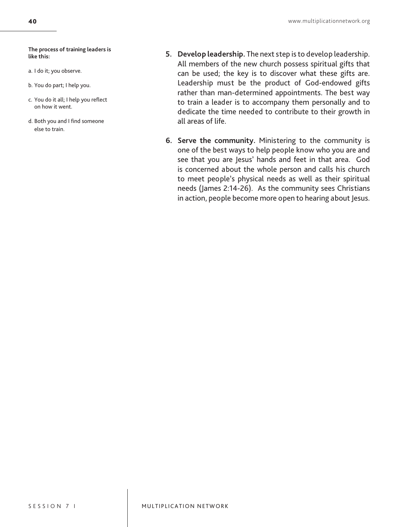**The process of training leaders is like this:**

- a. I do it; you observe.
- b. You do part; I help you.
- c. You do it all; I help you reflect on how it went.
- d. Both you and I find someone else to train.
- **5. Develop leadership.** The next step is to develop leadership. All members of the new church possess spiritual gifts that can be used; the key is to discover what these gifts are. Leadership must be the product of God-endowed gifts rather than man-determined appointments. The best way to train a leader is to accompany them personally and to dedicate the time needed to contribute to their growth in all areas of life.
- **6. Serve the community.** Ministering to the community is one of the best ways to help people know who you are and see that you are Jesus' hands and feet in that area. God is concerned about the whole person and calls his church to meet people's physical needs as well as their spiritual needs (James 2:14-26). As the community sees Christians in action, people become more open to hearing about Jesus.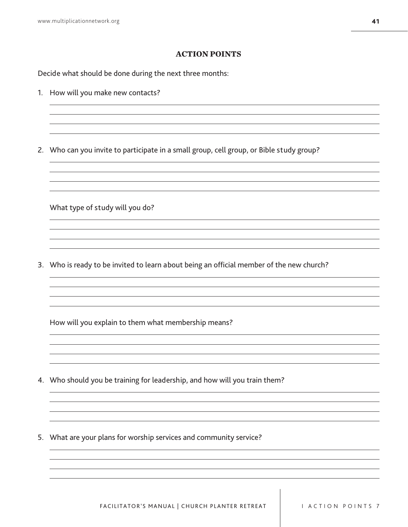#### **ACTION POINTS**

Decide what should be done during the next three months:

1. How will you make new contacts? 2. Who can you invite to participate in a small group, cell group, or Bible study group? What type of study will you do? 3. Who is ready to be invited to learn about being an official member of the new church? How will you explain to them what membership means? 4. Who should you be training for leadership, and how will you train them? 5. What are your plans for worship services and community service?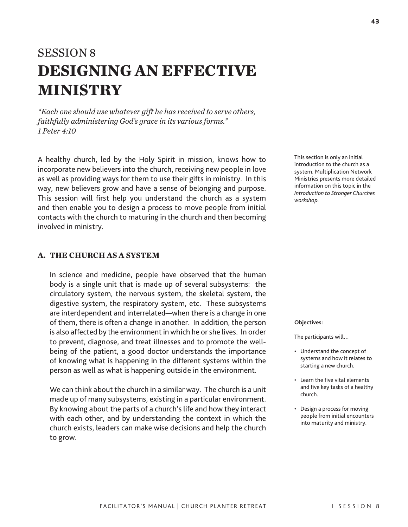# SESSION 8 **DESIGNING AN EFFECTIVE MINISTRY**

*"Each one should use whatever gift he has received to serve others, faithfully administering God's grace in its various forms." 1 Peter 4:10*

A healthy church, led by the Holy Spirit in mission, knows how to incorporate new believers into the church, receiving new people in love as well as providing ways for them to use their gifts in ministry. In this way, new believers grow and have a sense of belonging and purpose. This session will first help you understand the church as a system and then enable you to design a process to move people from initial contacts with the church to maturing in the church and then becoming involved in ministry.

#### **A. THE CHURCH AS A SYSTEM**

In science and medicine, people have observed that the human body is a single unit that is made up of several subsystems: the circulatory system, the nervous system, the skeletal system, the digestive system, the respiratory system, etc. These subsystems are interdependent and interrelated—when there is a change in one of them, there is often a change in another. In addition, the person is also affected by the environment in which he or she lives. In order to prevent, diagnose, and treat illnesses and to promote the wellbeing of the patient, a good doctor understands the importance of knowing what is happening in the different systems within the person as well as what is happening outside in the environment.

We can think about the church in a similar way. The church is a unit made up of many subsystems, existing in a particular environment. By knowing about the parts of a church's life and how they interact with each other, and by understanding the context in which the church exists, leaders can make wise decisions and help the church to grow.

This section is only an initial introduction to the church as a system. Multiplication Network Ministries presents more detailed information on this topic in the *Introduction to Stronger Churches workshop.*

#### **Objectives:**

The participants will…

- Understand the concept of systems and how it relates to starting a new church.
- Learn the five vital elements and five key tasks of a healthy church.
- Design a process for moving people from initial encounters into maturity and ministry.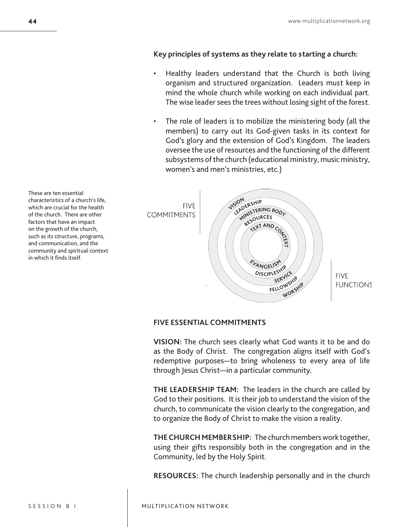# **Key principles of systems as they relate to starting a church:**

- Healthy leaders understand that the Church is both living organism and structured organization. Leaders must keep in mind the whole church while working on each individual part. The wise leader sees the trees without losing sight of the forest.
- The role of leaders is to mobilize the ministering body (all the members) to carry out its God-given tasks in its context for God's glory and the extension of God's Kingdom. The leaders oversee the use of resources and the functioning of the different subsystems of the church (educational ministry, music ministry, women's and men's ministries, etc.)



# **FIVE ESSENTIAL COMMITMENTS**

**VISION:** The church sees clearly what God wants it to be and do as the Body of Christ. The congregation aligns itself with God's redemptive purposes—to bring wholeness to every area of life through Jesus Christ—in a particular community.

**THE LEADERSHIP TEAM:** The leaders in the church are called by God to their positions. It is their job to understand the vision of the church, to communicate the vision clearly to the congregation, and to organize the Body of Christ to make the vision a reality.

**THE CHURCH MEMBERSHIP:** The church members work together, using their gifts responsibly both in the congregation and in the Community, led by the Holy Spirit.

**RESOURCES:** The church leadership personally and in the church

These are ten essential characteristics of a church's life, which are crucial for the health of the church. There are other factors that have an impact on the growth of the church, such as its structure, programs, and communication, and the community and spiritual context in which it finds itself.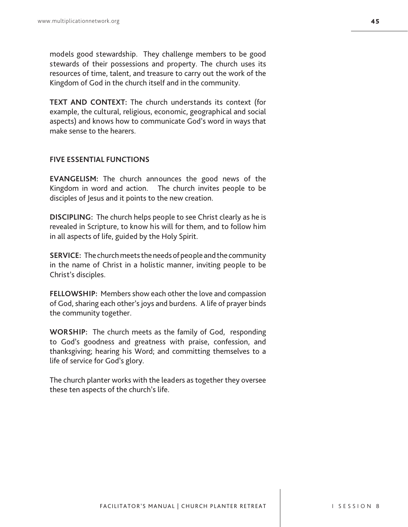models good stewardship. They challenge members to be good stewards of their possessions and property. The church uses its resources of time, talent, and treasure to carry out the work of the Kingdom of God in the church itself and in the community.

**TEXT AND CONTEXT:** The church understands its context (for example, the cultural, religious, economic, geographical and social aspects) and knows how to communicate God's word in ways that make sense to the hearers.

#### **FIVE ESSENTIAL FUNCTIONS**

**EVANGELISM:** The church announces the good news of the Kingdom in word and action. The church invites people to be disciples of Jesus and it points to the new creation.

**DISCIPLING:** The church helps people to see Christ clearly as he is revealed in Scripture, to know his will for them, and to follow him in all aspects of life, guided by the Holy Spirit.

**SERVICE:** The church meets the needs of people and the community in the name of Christ in a holistic manner, inviting people to be Christ's disciples.

**FELLOWSHIP:** Members show each other the love and compassion of God, sharing each other's joys and burdens. A life of prayer binds the community together.

**WORSHIP:** The church meets as the family of God, responding to God's goodness and greatness with praise, confession, and thanksgiving; hearing his Word; and committing themselves to a life of service for God's glory.

The church planter works with the leaders as together they oversee these ten aspects of the church's life.

I SESSION 8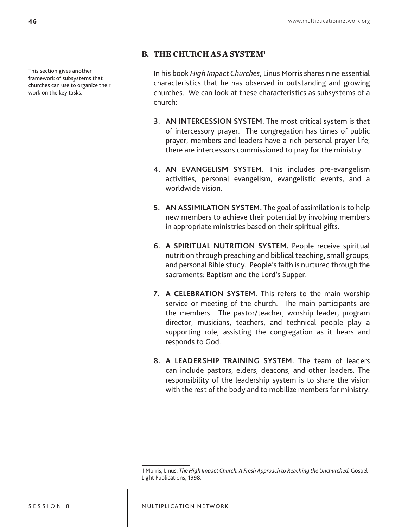# **B. THE CHURCH AS A SYSTEM1**

In his book *High Impact Churches*, Linus Morris shares nine essential characteristics that he has observed in outstanding and growing churches. We can look at these characteristics as subsystems of a church:

- **3. AN INTERCESSION SYSTEM.** The most critical system is that of intercessory prayer. The congregation has times of public prayer; members and leaders have a rich personal prayer life; there are intercessors commissioned to pray for the ministry.
- **4. AN EVANGELISM SYSTEM.** This includes pre-evangelism activities, personal evangelism, evangelistic events, and a worldwide vision.
- **5. AN ASSIMILATION SYSTEM.** The goal of assimilation is to help new members to achieve their potential by involving members in appropriate ministries based on their spiritual gifts.
- **6. A SPIRITUAL NUTRITION SYSTEM.** People receive spiritual nutrition through preaching and biblical teaching, small groups, and personal Bible study. People's faith is nurtured through the sacraments: Baptism and the Lord's Supper.
- **7. A CELEBRATION SYSTEM.** This refers to the main worship service or meeting of the church. The main participants are the members. The pastor/teacher, worship leader, program director, musicians, teachers, and technical people play a supporting role, assisting the congregation as it hears and responds to God.
- **8. A LEADERSHIP TRAINING SYSTEM.** The team of leaders can include pastors, elders, deacons, and other leaders. The responsibility of the leadership system is to share the vision with the rest of the body and to mobilize members for ministry.

This section gives another framework of subsystems that churches can use to organize their work on the key tasks.

<sup>1</sup> Morris, Linus. *The High Impact Church: A Fresh Approach to Reaching the Unchurched.* Gospel Light Publications, 1998.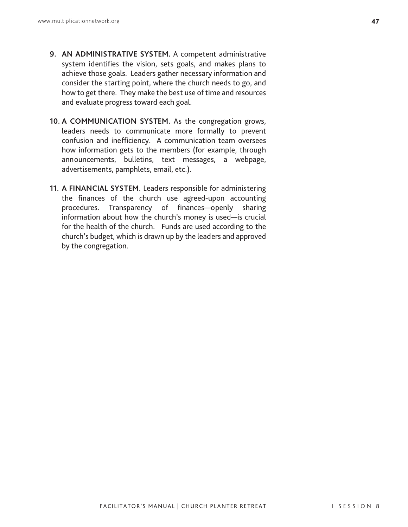- **9. AN ADMINISTRATIVE SYSTEM.** A competent administrative system identifies the vision, sets goals, and makes plans to achieve those goals. Leaders gather necessary information and consider the starting point, where the church needs to go, and how to get there. They make the best use of time and resources and evaluate progress toward each goal.
- **10. A COMMUNICATION SYSTEM.** As the congregation grows, leaders needs to communicate more formally to prevent confusion and inefficiency. A communication team oversees how information gets to the members (for example, through announcements, bulletins, text messages, a webpage, advertisements, pamphlets, email, etc.).
- **11. A FINANCIAL SYSTEM.** Leaders responsible for administering the finances of the church use agreed-upon accounting procedures. Transparency of finances—openly sharing information about how the church's money is used—is crucial for the health of the church. Funds are used according to the church's budget, which is drawn up by the leaders and approved by the congregation.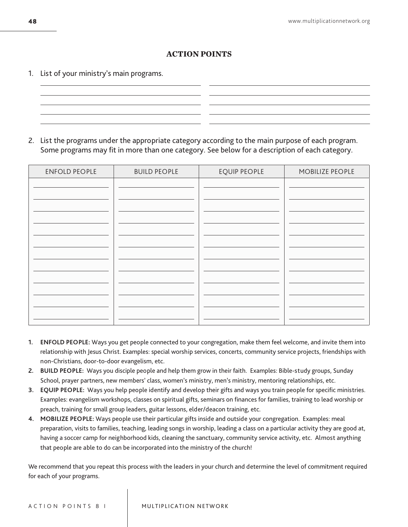# **ACTION POINTS**

1. List of your ministry's main programs.

2. List the programs under the appropriate category according to the main purpose of each program. Some programs may fit in more than one category. See below for a description of each category.

| <b>ENFOLD PEOPLE</b> | <b>BUILD PEOPLE</b> | <b>EQUIP PEOPLE</b> | MOBILIZE PEOPLE |
|----------------------|---------------------|---------------------|-----------------|
|                      |                     |                     |                 |
|                      |                     |                     |                 |
|                      |                     |                     |                 |
|                      |                     |                     |                 |
|                      |                     |                     |                 |
|                      |                     |                     |                 |
|                      |                     |                     |                 |
|                      |                     |                     |                 |
|                      |                     |                     |                 |
|                      |                     |                     |                 |
|                      |                     |                     |                 |
|                      |                     |                     |                 |

- **1. ENFOLD PEOPLE:** Ways you get people connected to your congregation, make them feel welcome, and invite them into relationship with Jesus Christ. Examples: special worship services, concerts, community service projects, friendships with non-Christians, door-to-door evangelism, etc.
- **2. BUILD PEOPLE:** Ways you disciple people and help them grow in their faith. Examples: Bible-study groups, Sunday School, prayer partners, new members' class, women's ministry, men's ministry, mentoring relationships, etc.
- **3. EQUIP PEOPLE:** Ways you help people identify and develop their gifts and ways you train people for specific ministries. Examples: evangelism workshops, classes on spiritual gifts, seminars on finances for families, training to lead worship or preach, training for small group leaders, guitar lessons, elder/deacon training, etc.
- **4. MOBILIZE PEOPLE:** Ways people use their particular gifts inside and outside your congregation. Examples: meal preparation, visits to families, teaching, leading songs in worship, leading a class on a particular activity they are good at, having a soccer camp for neighborhood kids, cleaning the sanctuary, community service activity, etc. Almost anything that people are able to do can be incorporated into the ministry of the church!

We recommend that you repeat this process with the leaders in your church and determine the level of commitment required for each of your programs.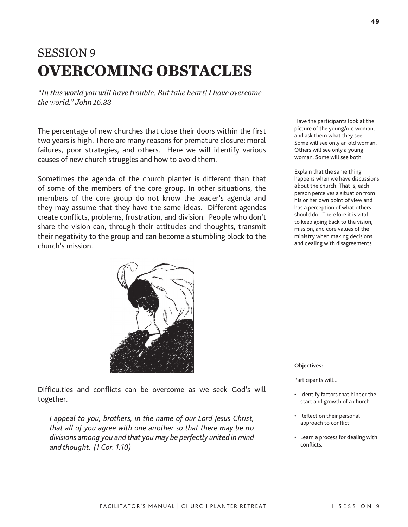# SESSION 9 **OVERCOMING OBSTACLES**

*"In this world you will have trouble. But take heart! I have overcome the world." John 16:33*

The percentage of new churches that close their doors within the first two years is high. There are many reasons for premature closure: moral failures, poor strategies, and others. Here we will identify various causes of new church struggles and how to avoid them.

Sometimes the agenda of the church planter is different than that of some of the members of the core group. In other situations, the members of the core group do not know the leader's agenda and they may assume that they have the same ideas. Different agendas create conflicts, problems, frustration, and division. People who don't share the vision can, through their attitudes and thoughts, transmit their negativity to the group and can become a stumbling block to the church's mission.



Difficulties and conflicts can be overcome as we seek God's will together.

*I appeal to you, brothers, in the name of our Lord Jesus Christ, that all of you agree with one another so that there may be no divisions among you and that you may be perfectly united in mind and thought. (1 Cor. 1:10)*

Have the participants look at the picture of the young/old woman, and ask them what they see. Some will see only an old woman. Others will see only a young woman. Some will see both.

Explain that the same thing happens when we have discussions about the church. That is, each person perceives a situation from his or her own point of view and has a perception of what others should do. Therefore it is vital to keep going back to the vision, mission, and core values of the ministry when making decisions and dealing with disagreements.

#### **Objectives:**

Participants will...

- Identify factors that hinder the start and growth of a church.
- Reflect on their personal approach to conflict.
- Learn a process for dealing with conflicts.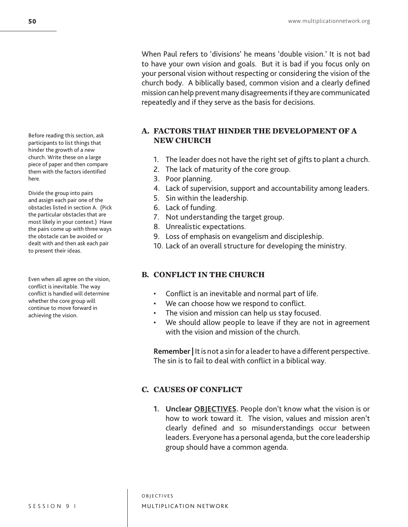When Paul refers to 'divisions' he means 'double vision.' It is not bad to have your own vision and goals. But it is bad if you focus only on your personal vision without respecting or considering the vision of the church body. A biblically based, common vision and a clearly defined mission can help prevent many disagreements if they are communicated repeatedly and if they serve as the basis for decisions.

# **A. FACTORS THAT HINDER THE DEVELOPMENT OF A NEW CHURCH**

- 1. The leader does not have the right set of gifts to plant a church.
- 2. The lack of maturity of the core group.
- 3. Poor planning.
- 4. Lack of supervision, support and accountability among leaders.
- 5. Sin within the leadership.
- 6. Lack of funding.
- 7. Not understanding the target group.
- 8. Unrealistic expectations.
- 9. Loss of emphasis on evangelism and discipleship.
- 10. Lack of an overall structure for developing the ministry.

# **B. CONFLICT IN THE CHURCH**

- Conflict is an inevitable and normal part of life.
- We can choose how we respond to conflict.
- The vision and mission can help us stay focused.
- We should allow people to leave if they are not in agreement with the vision and mission of the church.

**Remember |** It is not a sin for a leader to have a different perspective. The sin is to fail to deal with conflict in a biblical way.

# **C. CAUSES OF CONFLICT**

**1. Unclear OBJECTIVES.** People don't know what the vision is or how to work toward it. The vision, values and mission aren't clearly defined and so misunderstandings occur between leaders. Everyone has a personal agenda, but the core leadership group should have a common agenda.

Before reading this section, ask participants to list things that hinder the growth of a new church. Write these on a large piece of paper and then compare them with the factors identified here.

Divide the group into pairs and assign each pair one of the obstacles listed in section A. (Pick the particular obstacles that are most likely in your context.) Have the pairs come up with three ways the obstacle can be avoided or dealt with and then ask each pair to present their ideas.

Even when all agree on the vision, conflict is inevitable. The way conflict is handled will determine whether the core group will continue to move forward in achieving the vision.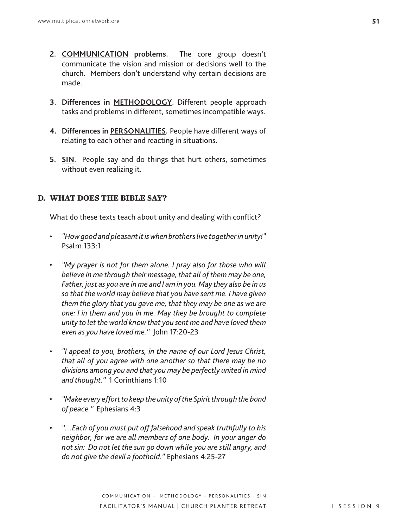- **2. COMMUNICATION problems.** The core group doesn't communicate the vision and mission or decisions well to the church. Members don't understand why certain decisions are made.
- **3. Differences in METHODOLOGY.** Different people approach tasks and problems in different, sometimes incompatible ways.
- **4. Differences in PERSONALITIES.** People have different ways of relating to each other and reacting in situations.
- **5. SIN**. People say and do things that hurt others, sometimes without even realizing it.

#### **D. WHAT DOES THE BIBLE SAY?**

What do these texts teach about unity and dealing with conflict?

- *• "How good and pleasant it is when brothers live together in unity!"*  Psalm 133:1
- *• "My prayer is not for them alone. I pray also for those who will believe in me through their message, that all of them may be one, Father, just as you are in me and I am in you. May they also be in us so that the world may believe that you have sent me. I have given them the glory that you gave me, that they may be one as we are one: I in them and you in me. May they be brought to complete unity to let the world know that you sent me and have loved them even as you have loved me."* John 17:20-23
- *• "I appeal to you, brothers, in the name of our Lord Jesus Christ, that all of you agree with one another so that there may be no divisions among you and that you may be perfectly united in mind and thought."* 1 Corinthians 1:10
- *• "Make every effort to keep the unity of the Spirit through the bond of peace."* Ephesians 4:3
- *• "…Each of you must put off falsehood and speak truthfully to his neighbor, for we are all members of one body. In your anger do not sin: Do not let the sun go down while you are still angry, and do not give the devil a foothold."* Ephesians 4:25-27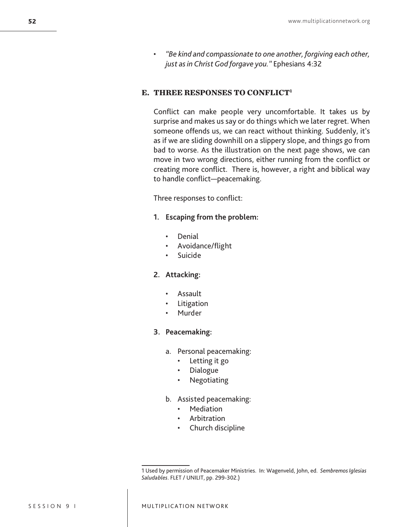*• "Be kind and compassionate to one another, forgiving each other, just as in Christ God forgave you."* Ephesians 4:32

#### **E. THREE RESPONSES TO CONFLICT1**

Conflict can make people very uncomfortable. It takes us by surprise and makes us say or do things which we later regret. When someone offends us, we can react without thinking. Suddenly, it's as if we are sliding downhill on a slippery slope, and things go from bad to worse. As the illustration on the next page shows, we can move in two wrong directions, either running from the conflict or creating more conflict. There is, however, a right and biblical way to handle conflict—peacemaking.

Three responses to conflict:

#### **1. Escaping from the problem:**

- Denial
- Avoidance/flight
- Suicide

#### **2. Attacking:**

- **Assault**
- **Litigation**
- **Murder**
- **3. Peacemaking:**
	- a. Personal peacemaking:
		- Letting it go
		- Dialogue
		- **Negotiating**
	- b. Assisted peacemaking:
		- Mediation
		- **Arbitration**
		- Church discipline

<sup>1</sup> Used by permission of Peacemaker Ministries. In: Wagenveld, John, ed. *Sembremos Iglesias Saludables*. FLET / UNILIT, pp. 299-302.)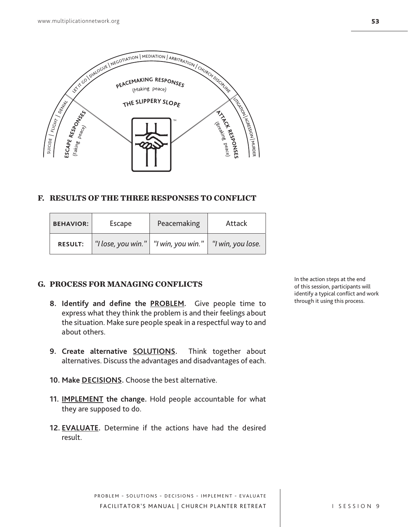

#### **F. RESULTS OF THE THREE RESPONSES TO CONFLICT**

| <b>BEHAVIOR:</b> | Escape | Peacemaking                                                | Attack |
|------------------|--------|------------------------------------------------------------|--------|
| <b>RESULT:</b>   |        | "I lose, you win."   "I win, you win."   "I win, you lose. |        |

#### **G. PROCESS FOR MANAGING CONFLICTS**

- **8. Identify and define the PROBLEM.** Give people time to express what they think the problem is and their feelings about the situation. Make sure people speak in a respectful way to and about others.
- **9. Create alternative SOLUTIONS.** Think together about alternatives. Discuss the advantages and disadvantages of each.
- **10. Make DECISIONS.** Choose the best alternative.
- **11. IMPLEMENT the change.** Hold people accountable for what they are supposed to do.
- **12. EVALUATE.** Determine if the actions have had the desired result.

In the action steps at the end of this session, participants will identify a typical conflict and work through it using this process.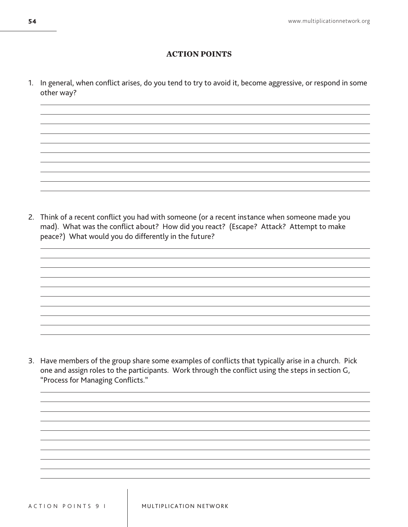#### **ACTION POINTS**

1. In general, when conflict arises, do you tend to try to avoid it, become aggressive, or respond in some other way?

2. Think of a recent conflict you had with someone (or a recent instance when someone made you mad). What was the conflict about? How did you react? (Escape? Attack? Attempt to make peace?) What would you do differently in the future?

3. Have members of the group share some examples of conflicts that typically arise in a church. Pick one and assign roles to the participants. Work through the conflict using the steps in section G, "Process for Managing Conflicts."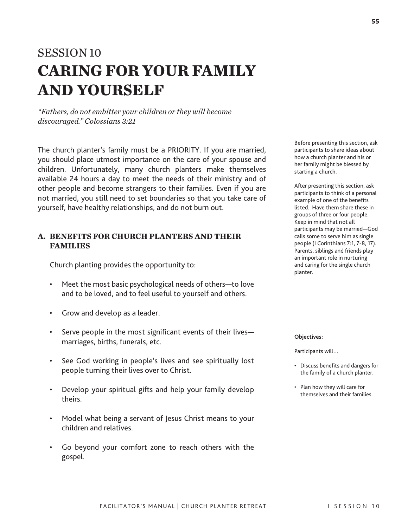# SESSION 10 **CARING FOR YOUR FAMILY AND YOURSELF**

*"Fathers, do not embitter your children or they will become discouraged." Colossians 3:21*

The church planter's family must be a PRIORITY. If you are married, you should place utmost importance on the care of your spouse and children. Unfortunately, many church planters make themselves available 24 hours a day to meet the needs of their ministry and of other people and become strangers to their families. Even if you are not married, you still need to set boundaries so that you take care of yourself, have healthy relationships, and do not burn out.

#### **A. BENEFITS FOR CHURCH PLANTERS AND THEIR FAMILIES**

Church planting provides the opportunity to:

- Meet the most basic psychological needs of others—to love and to be loved, and to feel useful to yourself and others.
- Grow and develop as a leader.
- Serve people in the most significant events of their lives marriages, births, funerals, etc.
- See God working in people's lives and see spiritually lost people turning their lives over to Christ.
- Develop your spiritual gifts and help your family develop theirs.
- Model what being a servant of Jesus Christ means to your children and relatives.
- Go beyond your comfort zone to reach others with the gospel.

Before presenting this section, ask participants to share ideas about how a church planter and his or her family might be blessed by starting a church.

After presenting this section, ask participants to think of a personal example of one of the benefits listed. Have them share these in groups of three or four people. Keep in mind that not all participants may be married—God calls some to serve him as single people (I Corinthians 7:1, 7-8, 17). Parents, siblings and friends play an important role in nurturing and caring for the single church planter.

#### **Objectives:**

Participants will…

- Discuss benefits and dangers for the family of a church planter.
- Plan how they will care for themselves and their families.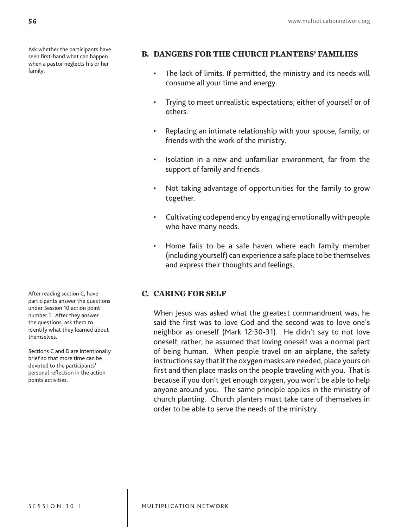Ask whether the participants have seen first-hand what can happen when a pastor neglects his or her family.

#### **B. DANGERS FOR THE CHURCH PLANTERS' FAMILIES**

- The lack of limits. If permitted, the ministry and its needs will consume all your time and energy.
- Trying to meet unrealistic expectations, either of yourself or of others.
- Replacing an intimate relationship with your spouse, family, or friends with the work of the ministry.
- Isolation in a new and unfamiliar environment, far from the support of family and friends.
- Not taking advantage of opportunities for the family to grow together.
- Cultivating codependency by engaging emotionally with people who have many needs.
- Home fails to be a safe haven where each family member (including yourself) can experience a safe place to be themselves and express their thoughts and feelings.

### **C. CARING FOR SELF**

When Jesus was asked what the greatest commandment was, he said the first was to love God and the second was to love one's neighbor as oneself (Mark 12:30-31). He didn't say to not love oneself; rather, he assumed that loving oneself was a normal part of being human. When people travel on an airplane, the safety instructions say that if the oxygen masks are needed, place yours on first and then place masks on the people traveling with you. That is because if you don't get enough oxygen, you won't be able to help anyone around you. The same principle applies in the ministry of church planting. Church planters must take care of themselves in order to be able to serve the needs of the ministry.

After reading section C, have participants answer the questions under Session 10 action point number 1. After they answer the questions, ask them to identify what they learned about themselves.

Sections C and D are intentionally brief so that more time can be devoted to the participants' personal reflection in the action points activities.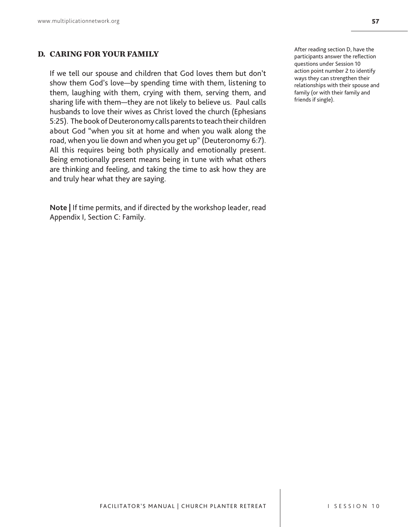#### **D. CARING FOR YOUR FAMILY**

If we tell our spouse and children that God loves them but don't show them God's love—by spending time with them, listening to them, laughing with them, crying with them, serving them, and sharing life with them—they are not likely to believe us. Paul calls husbands to love their wives as Christ loved the church (Ephesians 5:25). The book of Deuteronomy calls parents to teach their children about God "when you sit at home and when you walk along the road, when you lie down and when you get up" (Deuteronomy 6:7). All this requires being both physically and emotionally present. Being emotionally present means being in tune with what others are thinking and feeling, and taking the time to ask how they are and truly hear what they are saying.

**Note |** If time permits, and if directed by the workshop leader, read Appendix I, Section C: Family.

After reading section D, have the participants answer the reflection questions under Session 10 action point number 2 to identify ways they can strengthen their relationships with their spouse and family (or with their family and friends if single).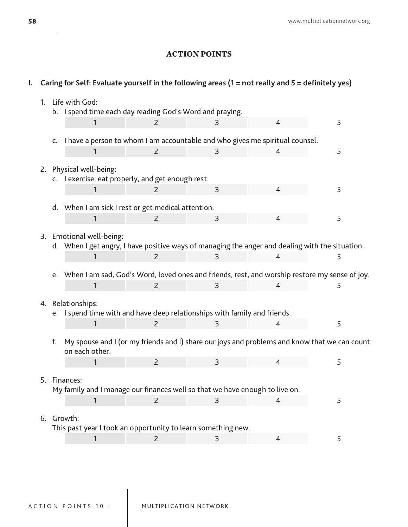# **ACTION POINTS**

# **I. Caring for Self: Evaluate yourself in the following areas (1 = not really and 5 = definitely yes)** 1. Life with God: b. I spend time each day reading God's Word and praying. 1 2 3 4 5 c. I have a person to whom I am accountable and who gives me spiritual counsel. 1 2 3 4 5 2. Physical well-being: c. I exercise, eat properly, and get enough rest. 1 2 3 4 5 d. When I am sick I rest or get medical attention. 1 2 3 4 5 3. Emotional well-being: d. When I get angry, I have positive ways of managing the anger and dealing with the situation. 1 2 3 4 5 e. When I am sad, God's Word, loved ones and friends, rest, and worship restore my sense of joy. 1 2 3 4 5 4. Relationships: e. I spend time with and have deep relationships with family and friends. 1 2 3 4 5 f. My spouse and I (or my friends and I) share our joys and problems and know that we can count on each other. 1 2 3 4 5 5. Finances: My family and I manage our finances well so that we have enough to live on. 1 2 3 4 5 6. Growth: This past year I took an opportunity to learn something new. 1 2 3 4 5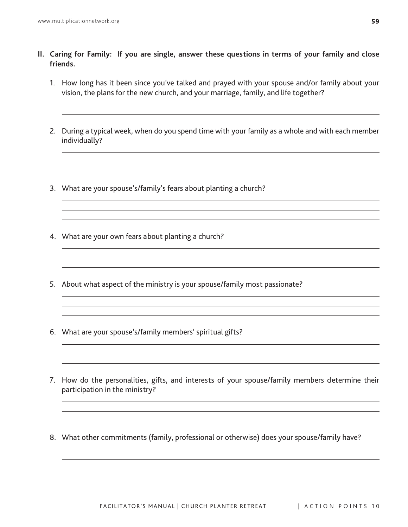- **II. Caring for Family: If you are single, answer these questions in terms of your family and close friends.**
	- 1. How long has it been since you've talked and prayed with your spouse and/or family about your vision, the plans for the new church, and your marriage, family, and life together?
	- 2. During a typical week, when do you spend time with your family as a whole and with each member individually?
	- 3. What are your spouse's/family's fears about planting a church?
	- 4. What are your own fears about planting a church?
	- 5. About what aspect of the ministry is your spouse/family most passionate?

and the control of the control of the control of the control of the control of the control of the control of the

- 6. What are your spouse's/family members' spiritual gifts?
- 7. How do the personalities, gifts, and interests of your spouse/family members determine their participation in the ministry?
- 8. What other commitments (family, professional or otherwise) does your spouse/family have?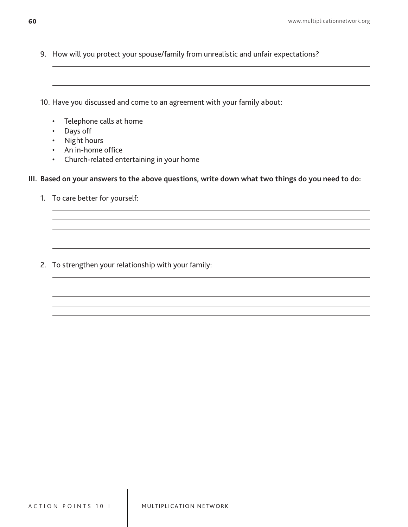- 9. How will you protect your spouse/family from unrealistic and unfair expectations?
- 10. Have you discussed and come to an agreement with your family about:
	- Telephone calls at home
	- Days off
	- Night hours
	- An in-home office
	- Church-related entertaining in your home

# **III. Based on your answers to the above questions, write down what two things do you need to do:**

1. To care better for yourself:

2. To strengthen your relationship with your family: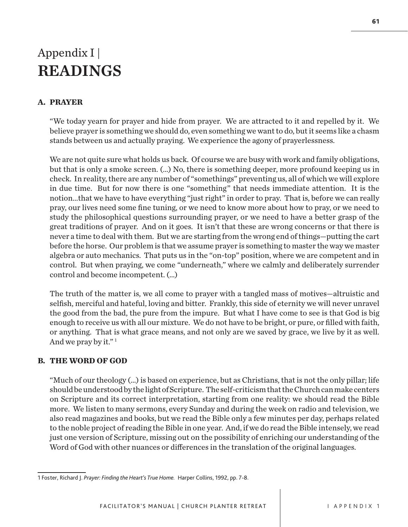# Appendix I | READINGS

# **A. PRAYER**

"We today yearn for prayer and hide from prayer. We are attracted to it and repelled by it. We believe prayer is something we should do, even something we want to do, but it seems like a chasm stands between us and actually praying. We experience the agony of prayerlessness.

We are not quite sure what holds us back. Of course we are busy with work and family obligations, but that is only a smoke screen. (…) No, there is something deeper, more profound keeping us in check. In reality, there are any number of "somethings" preventing us, all of which we will explore in due time. But for now there is one "something" that needs immediate attention. It is the notion…that we have to have everything "just right" in order to pray. That is, before we can really pray, our lives need some fine tuning, or we need to know more about how to pray, or we need to study the philosophical questions surrounding prayer, or we need to have a better grasp of the great traditions of prayer. And on it goes. It isn't that these are wrong concerns or that there is never a time to deal with them. But we are starting from the wrong end of things—putting the cart before the horse. Our problem is that we assume prayer is something to master the way we master algebra or auto mechanics. That puts us in the "on-top" position, where we are competent and in control. But when praying, we come "underneath," where we calmly and deliberately surrender control and become incompetent. (…)

The truth of the matter is, we all come to prayer with a tangled mass of motives—altruistic and selfish, merciful and hateful, loving and bitter. Frankly, this side of eternity we will never unravel the good from the bad, the pure from the impure. But what I have come to see is that God is big enough to receive us with all our mixture. We do not have to be bright, or pure, or filled with faith, or anything. That is what grace means, and not only are we saved by grace, we live by it as well. And we pray by it."<sup>1</sup>

# **B. THE WORD OF GOD**

"Much of our theology (…) is based on experience, but as Christians, that is not the only pillar; life should be understood by the light of Scripture. The self-criticism that the Church can make centers on Scripture and its correct interpretation, starting from one reality: we should read the Bible more. We listen to many sermons, every Sunday and during the week on radio and television, we also read magazines and books, but we read the Bible only a few minutes per day, perhaps related to the noble project of reading the Bible in one year. And, if we do read the Bible intensely, we read just one version of Scripture, missing out on the possibility of enriching our understanding of the Word of God with other nuances or differences in the translation of the original languages.

<sup>1</sup> Foster, Richard J. *Prayer: Finding the Heart's True Home.* Harper Collins, 1992, pp. 7-8.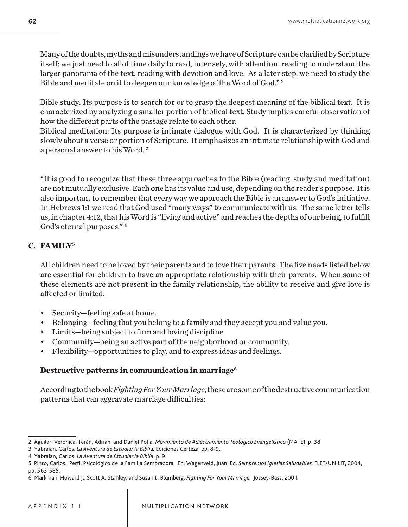Many of the doubts, myths and misunderstandings we have of Scripture can be clarified by Scripture itself; we just need to allot time daily to read, intensely, with attention, reading to understand the larger panorama of the text, reading with devotion and love. As a later step, we need to study the Bible and meditate on it to deepen our knowledge of the Word of God." 2

Bible study: Its purpose is to search for or to grasp the deepest meaning of the biblical text. It is characterized by analyzing a smaller portion of biblical text. Study implies careful observation of how the different parts of the passage relate to each other.

Biblical meditation: Its purpose is intimate dialogue with God. It is characterized by thinking slowly about a verse or portion of Scripture. It emphasizes an intimate relationship with God and a personal answer to his Word. 3

"It is good to recognize that these three approaches to the Bible (reading, study and meditation) are not mutually exclusive. Each one has its value and use, depending on the reader's purpose. It is also important to remember that every way we approach the Bible is an answer to God's initiative. In Hebrews 1:1 we read that God used "many ways" to communicate with us. The same letter tells us, in chapter 4:12, that his Word is "living and active" and reaches the depths of our being, to fulfill God's eternal purposes." 4

# **C. FAMILY5**

All children need to be loved by their parents and to love their parents. The five needs listed below are essential for children to have an appropriate relationship with their parents. When some of these elements are not present in the family relationship, the ability to receive and give love is affected or limited.

- Security—feeling safe at home.
- Belonging—feeling that you belong to a family and they accept you and value you.
- Limits—being subject to firm and loving discipline.
- Community—being an active part of the neighborhood or community.
- Flexibility—opportunities to play, and to express ideas and feelings.

# **Destructive patterns in communication in marriage6**

According to the book *Fighting For Your Marriage*, these are some of the destructive communication patterns that can aggravate marriage difficulties:

<sup>2</sup> Aguilar, Verónica, Terán, Adrián, and Daniel Polía. *Movimiento de Adiestramiento Teológico Evangelístico* (MATE). p. 38

<sup>3</sup> Yabraian, Carlos. *La Aventura de Estudiar la Biblia.* Ediciones Certeza, pp. 8-9.

<sup>4</sup> Yabraian, Carlos. *La Aventura de Estudiar la Biblia*. p. 9.

<sup>5</sup> Pinto, Carlos. Perfil Psicológico de la Familia Sembradora. En: Wagenveld, Juan, Ed. *Sembremos Iglesias Saludables.* FLET/UNILIT, 2004, pp. 563-585.

<sup>6</sup> Markman, Howard J., Scott A. Stanley, and Susan L. Blumberg. *Fighting For Your Marriage.* Jossey-Bass, 2001.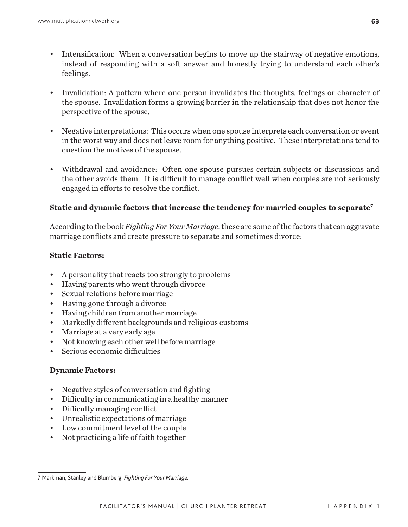- Intensification: When a conversation begins to move up the stairway of negative emotions, instead of responding with a soft answer and honestly trying to understand each other's feelings.
- Invalidation: A pattern where one person invalidates the thoughts, feelings or character of the spouse. Invalidation forms a growing barrier in the relationship that does not honor the perspective of the spouse.
- Negative interpretations: This occurs when one spouse interprets each conversation or event in the worst way and does not leave room for anything positive. These interpretations tend to question the motives of the spouse.
- Withdrawal and avoidance: Often one spouse pursues certain subjects or discussions and the other avoids them. It is difficult to manage conflict well when couples are not seriously engaged in efforts to resolve the conflict.

# **Static and dynamic factors that increase the tendency for married couples to separate7**

According to the book *Fighting For Your Marriage*, these are some of the factors that can aggravate marriage conflicts and create pressure to separate and sometimes divorce:

# **Static Factors:**

- A personality that reacts too strongly to problems
- Having parents who went through divorce
- Sexual relations before marriage
- Having gone through a divorce
- Having children from another marriage
- Markedly different backgrounds and religious customs
- Marriage at a very early age
- Not knowing each other well before marriage
- Serious economic difficulties

# **Dynamic Factors:**

- Negative styles of conversation and fighting
- Difficulty in communicating in a healthy manner
- Difficulty managing conflict
- Unrealistic expectations of marriage
- Low commitment level of the couple
- Not practicing a life of faith together

<sup>7</sup> Markman, Stanley and Blumberg. *Fighting For Your Marriage.*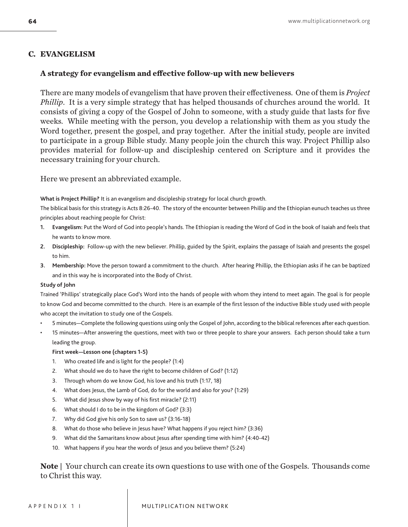# **C. EVANGELISM**

# **A strategy for evangelism and effective follow-up with new believers**

There are many models of evangelism that have proven their effectiveness. One of them is *Project Phillip*. It is a very simple strategy that has helped thousands of churches around the world. It consists of giving a copy of the Gospel of John to someone, with a study guide that lasts for five weeks. While meeting with the person, you develop a relationship with them as you study the Word together, present the gospel, and pray together. After the initial study, people are invited to participate in a group Bible study. Many people join the church this way. Project Phillip also provides material for follow-up and discipleship centered on Scripture and it provides the necessary training for your church.

Here we present an abbreviated example.

**What is Project Phillip?** It is an evangelism and discipleship strategy for local church growth.

The biblical basis for this strategy is Acts 8:26-40. The story of the encounter between Phillip and the Ethiopian eunuch teaches us three principles about reaching people for Christ:

- **1. Evangelism:** Put the Word of God into people's hands. The Ethiopian is reading the Word of God in the book of Isaiah and feels that he wants to know more.
- **2. Discipleship:** Follow-up with the new believer. Phillip, guided by the Spirit, explains the passage of Isaiah and presents the gospel to him.
- **3. Membership:** Move the person toward a commitment to the church. After hearing Phillip, the Ethiopian asks if he can be baptized and in this way he is incorporated into the Body of Christ.

#### **Study of John**

Trained 'Phillips' strategically place God's Word into the hands of people with whom they intend to meet again. The goal is for people to know God and become committed to the church. Here is an example of the first lesson of the inductive Bible study used with people who accept the invitation to study one of the Gospels.

- 5 minutes—Complete the following questions using only the Gospel of John, according to the biblical references after each question.
- 15 minutes—After answering the questions, meet with two or three people to share your answers. Each person should take a turn leading the group.

#### **First week—Lesson one (chapters 1-5)**

- 1. Who created life and is light for the people? (1:4)
- 2. What should we do to have the right to become children of God? (1:12)
- 3. Through whom do we know God, his love and his truth (1:17, 18)
- 4. What does Jesus, the Lamb of God, do for the world and also for you? (1:29)
- 5. What did Jesus show by way of his first miracle? (2:11)
- 6. What should I do to be in the kingdom of God? (3:3)
- 7. Why did God give his only Son to save us? (3:16-18)
- 8. What do those who believe in Jesus have? What happens if you reject him? (3:36)
- 9. What did the Samaritans know about Jesus after spending time with him? (4:40-42)
- 10. What happens if you hear the words of Jesus and you believe them? (5:24)

**Note |** Your church can create its own questions to use with one of the Gospels. Thousands come to Christ this way.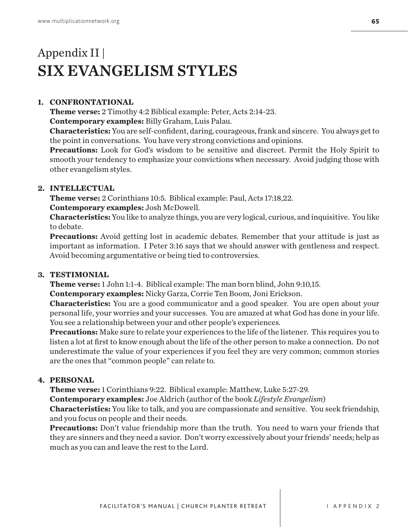# Appendix II | SIX EVANGELISM STYLES

### **1. CONFRONTATIONAL**

**Theme verse:** 2 Timothy 4:2 Biblical example: Peter, Acts 2:14-23.

**Contemporary examples:** Billy Graham, Luis Palau.

**Characteristics:** You are self-confident, daring, courageous, frank and sincere. You always get to the point in conversations. You have very strong convictions and opinions.

**Precautions:** Look for God's wisdom to be sensitive and discreet. Permit the Holy Spirit to smooth your tendency to emphasize your convictions when necessary. Avoid judging those with other evangelism styles.

#### **2. INTELLECTUAL**

**Theme verse:** 2 Corinthians 10:5. Biblical example: Paul, Acts 17:18,22.

#### **Contemporary examples:** Josh McDowell.

**Characteristics:** You like to analyze things, you are very logical, curious, and inquisitive. You like to debate.

**Precautions:** Avoid getting lost in academic debates. Remember that your attitude is just as important as information. I Peter 3:16 says that we should answer with gentleness and respect. Avoid becoming argumentative or being tied to controversies.

### **3. TESTIMONIAL**

**Theme verse:** 1 John 1:1-4. Biblical example: The man born blind, John 9:10,15.

**Contemporary examples:** Nicky Garza, Corrie Ten Boom, Joni Erickson.

**Characteristics:** You are a good communicator and a good speaker. You are open about your personal life, your worries and your successes. You are amazed at what God has done in your life. You see a relationship between your and other people's experiences.

**Precautions:** Make sure to relate your experiences to the life of the listener. This requires you to listen a lot at first to know enough about the life of the other person to make a connection. Do not underestimate the value of your experiences if you feel they are very common; common stories are the ones that "common people" can relate to.

### **4. PERSONAL**

**Theme verse:** 1 Corinthians 9:22. Biblical example: Matthew, Luke 5:27-29.

**Contemporary examples:** Joe Aldrich (author of the book *Lifestyle Evangelism*)

**Characteristics:** You like to talk, and you are compassionate and sensitive. You seek friendship, and you focus on people and their needs.

**Precautions:** Don't value friendship more than the truth. You need to warn your friends that they are sinners and they need a savior. Don't worry excessively about your friends' needs; help as much as you can and leave the rest to the Lord.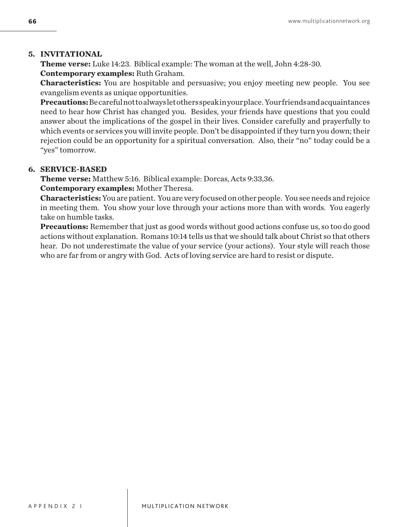# **5. INVITATIONAL**

**Theme verse:** Luke 14:23. Biblical example: The woman at the well, John 4:28-30. **Contemporary examples:** Ruth Graham.

**Characteristics:** You are hospitable and persuasive; you enjoy meeting new people. You see evangelism events as unique opportunities.

**Precautions:** Be careful not to always let others speak in your place. Your friends and acquaintances need to hear how Christ has changed you. Besides, your friends have questions that you could answer about the implications of the gospel in their lives. Consider carefully and prayerfully to which events or services you will invite people. Don't be disappointed if they turn you down; their rejection could be an opportunity for a spiritual conversation. Also, their "no" today could be a "yes" tomorrow.

### **6. SERVICE-BASED**

**Theme verse:** Matthew 5:16. Biblical example: Dorcas, Acts 9:33,36.

**Contemporary examples:** Mother Theresa.

**Characteristics:** You are patient. You are very focused on other people. You see needs and rejoice in meeting them. You show your love through your actions more than with words. You eagerly take on humble tasks.

**Precautions:** Remember that just as good words without good actions confuse us, so too do good actions without explanation. Romans 10:14 tells us that we should talk about Christ so that others hear. Do not underestimate the value of your service (your actions). Your style will reach those who are far from or angry with God. Acts of loving service are hard to resist or dispute.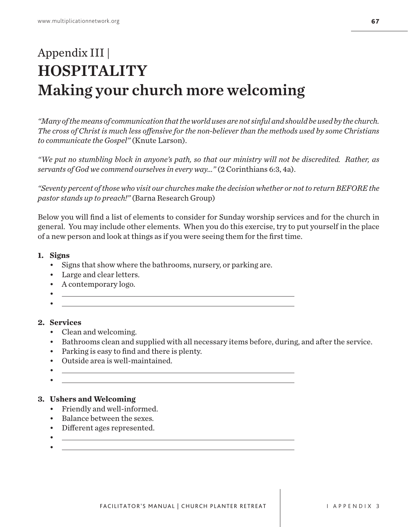# Appendix III | HOSPITALITY Making your church more welcoming

*"Many of the means of communication that the world uses are not sinful and should be used by the church. The cross of Christ is much less offensive for the non-believer than the methods used by some Christians to communicate the Gospel"* (Knute Larson).

*"We put no stumbling block in anyone's path, so that our ministry will not be discredited. Rather, as servants of God we commend ourselves in every way…"* (2 Corinthians 6:3, 4a).

*"Seventy percent of those who visit our churches make the decision whether or not to return BEFORE the pastor stands up to preach!"* (Barna Research Group)

Below you will find a list of elements to consider for Sunday worship services and for the church in general. You may include other elements. When you do this exercise, try to put yourself in the place of a new person and look at things as if you were seeing them for the first time.

# **1. Signs**

- Signs that show where the bathrooms, nursery, or parking are.
- Large and clear letters.
- A contemporary logo.
- •

### **2. Services**

- Clean and welcoming.
- Bathrooms clean and supplied with all necessary items before, during, and after the service.
- Parking is easy to find and there is plenty.
- Outside area is well-maintained.
- •
- •

# **3. Ushers and Welcoming**

- Friendly and well-informed.
- Balance between the sexes.
- Different ages represented.
- •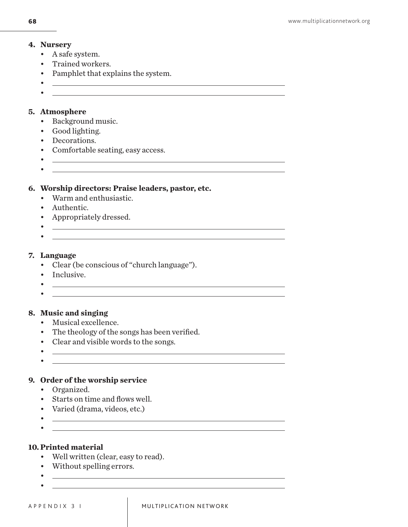#### **4. Nursery**

- A safe system.
- Trained workers.
- Pamphlet that explains the system.
- <u> 1980 - Andrea Barbara, poeta esperanto-poeta esperanto-poeta esperanto-poeta esperanto-poeta esperanto-poeta</u> •

#### **5. Atmosphere**

- Background music.
- Good lighting.
- Decorations.
- Comfortable seating, easy access.
- <u> 1989 Johann Barn, fransk politik fotograf (d. 1989)</u> • •

#### **6. Worship directors: Praise leaders, pastor, etc.**

- Warm and enthusiastic.
- Authentic.
- Appropriately dressed.
- <u> 1989 - Johann Barn, fransk politik (d. 1989)</u> <u> 1980 - Johann Barbara, martin amerikan basal dan berasal dalam basal dalam basal dalam basal dalam basal dala</u> •

#### **7. Language**

•

- Clear (be conscious of "church language").
- Inclusive.
- •

# **8. Music and singing**

- Musical excellence.
- The theology of the songs has been verified.

<u> 1989 - Johann Stoff, deutscher Stoff, der Stoff, der Stoff, der Stoff, der Stoff, der Stoff, der Stoff, der S</u>

- Clear and visible words to the songs.
- •

•

- **9. Order of the worship service** • Organized.
	-
	- Starts on time and flows well.
	- Varied (drama, videos, etc.)
	- •

# **10.Printed material**

- Well written (clear, easy to read).
- Without spelling errors.
- the control of the control of the control of the control of the control of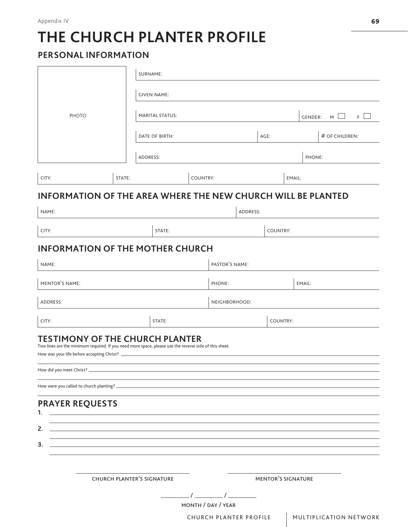# **THE CHURCH PLANTER PROFILE**

# **PERSONAL INFORMATION**

|                                                                                                                                                                                                  |                                   | SURNAME:               |          |                    |                           |          |                                                     |  |  |
|--------------------------------------------------------------------------------------------------------------------------------------------------------------------------------------------------|-----------------------------------|------------------------|----------|--------------------|---------------------------|----------|-----------------------------------------------------|--|--|
|                                                                                                                                                                                                  |                                   | <b>GIVEN NAME:</b>     |          |                    |                           |          |                                                     |  |  |
| <b>PHOTO</b>                                                                                                                                                                                     |                                   | <b>MARITAL STATUS:</b> |          |                    |                           |          | $F \Box$<br>$\blacksquare$<br><b>GENDER:</b><br>M I |  |  |
|                                                                                                                                                                                                  |                                   | DATE OF BIRTH:         |          | AGE:               |                           |          | # OF CHILDREN:                                      |  |  |
|                                                                                                                                                                                                  |                                   | ADDRESS:               |          |                    |                           |          | PHONE:                                              |  |  |
| CITY:                                                                                                                                                                                            | STATE:                            |                        | COUNTRY: |                    |                           | EMAIL:   |                                                     |  |  |
| <b>INFORMATION OF THE AREA WHERE THE NEW CHURCH WILL BE PLANTED</b>                                                                                                                              |                                   |                        |          |                    |                           |          |                                                     |  |  |
| NAME:                                                                                                                                                                                            |                                   |                        |          | ADDRESS:           |                           |          |                                                     |  |  |
| CITY:                                                                                                                                                                                            |                                   | STATE:                 |          |                    | COUNTRY:                  |          |                                                     |  |  |
| <b>INFORMATION OF THE MOTHER CHURCH</b>                                                                                                                                                          |                                   |                        |          |                    |                           |          |                                                     |  |  |
| NAME:                                                                                                                                                                                            |                                   |                        |          | PASTOR'S NAME:     |                           |          |                                                     |  |  |
| <b>MENTOR'S NAME:</b>                                                                                                                                                                            |                                   |                        | PHONE:   |                    | EMAIL:                    |          |                                                     |  |  |
| ADDRESS:                                                                                                                                                                                         |                                   |                        |          | NEIGHBORHOOD:      |                           |          |                                                     |  |  |
| CITY:                                                                                                                                                                                            |                                   | STATE:                 |          |                    |                           | COUNTRY: |                                                     |  |  |
| <b>TESTIMONY OF THE CHURCH PLANTER</b><br>Two lines are the minimum required. If you need more space, please use the reverse side of this sheet.<br>How was your life before accepting Christ? _ |                                   |                        |          |                    |                           |          |                                                     |  |  |
|                                                                                                                                                                                                  |                                   |                        |          |                    |                           |          |                                                     |  |  |
|                                                                                                                                                                                                  |                                   |                        |          |                    |                           |          |                                                     |  |  |
| <b>PRAYER REQUESTS</b><br>1.<br><u> 1989 - Andrea Aonaichte, ann an t-Èireann an t-Èireann an t-Èireann an t-Èireann an t-Èireann an t-Èireann an </u>                                           |                                   |                        |          |                    |                           |          |                                                     |  |  |
|                                                                                                                                                                                                  |                                   |                        |          |                    |                           |          |                                                     |  |  |
| 2.                                                                                                                                                                                               |                                   |                        |          |                    |                           |          |                                                     |  |  |
| 3.                                                                                                                                                                                               |                                   |                        |          |                    |                           |          |                                                     |  |  |
|                                                                                                                                                                                                  |                                   |                        |          |                    |                           |          |                                                     |  |  |
|                                                                                                                                                                                                  | <b>CHURCH PLANTER'S SIGNATURE</b> |                        |          |                    | <b>MENTOR'S SIGNATURE</b> |          |                                                     |  |  |
|                                                                                                                                                                                                  |                                   |                        |          | $\frac{1}{2}$      |                           |          |                                                     |  |  |
|                                                                                                                                                                                                  |                                   |                        |          | MONTH / DAY / YEAR |                           |          |                                                     |  |  |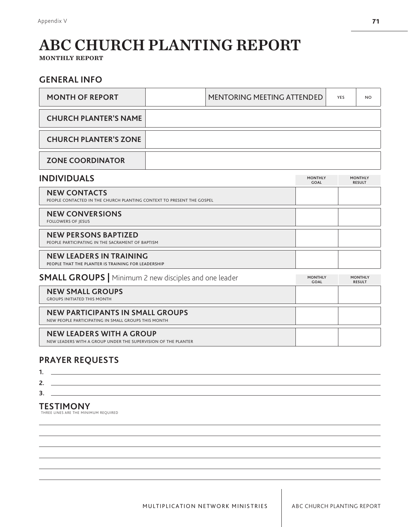# ABC CHURCH PLANTING REPORT

monthly report

# **GENERAL INFO**

| <b>MONTH OF REPORT</b>       | <b>MENTORING MEETING ATTENDED</b> | <b>YES</b> | <b>NO</b> |
|------------------------------|-----------------------------------|------------|-----------|
| <b>CHURCH PLANTER'S NAME</b> |                                   |            |           |
| <b>CHURCH PLANTER'S ZONE</b> |                                   |            |           |
| <b>ZONE COORDINATOR</b>      |                                   |            |           |

# **INDIVIDUALS**

| <b>INDIVIDUALS</b>                                                                           | <b>MONTHLY</b><br><b>GOAL</b> | <b>MONTHLY</b><br><b>RESULT</b> |
|----------------------------------------------------------------------------------------------|-------------------------------|---------------------------------|
| <b>NEW CONTACTS</b><br>PEOPLE CONTACTED IN THE CHURCH PLANTING CONTEXT TO PRESENT THE GOSPEL |                               |                                 |
| <b>NEW CONVERSIONS</b><br><b>FOLLOWERS OF JESUS</b>                                          |                               |                                 |
| <b>NEW PERSONS BAPTIZED</b><br>PEOPLE PARTICIPATING IN THE SACRAMENT OF BAPTISM              |                               |                                 |
| <b>NEW LEADERS IN TRAINING</b><br>PEOPLE THAT THE PLANTER IS TRAINING FOR LEADERSHIP         |                               |                                 |
| <b>SMALL GROUPS</b>   Minimum 2 new disciples and one leader                                 | <b>MONTHLY</b><br>COM         | <b>MONTHLY</b><br><b>DECLUT</b> |

|                                                                                           | .<br>GOAL | .<br><b>RESULT</b> |
|-------------------------------------------------------------------------------------------|-----------|--------------------|
| <b>NEW SMALL GROUPS</b><br><b>GROUPS INITIATED THIS MONTH</b>                             |           |                    |
| NEW PARTICIPANTS IN SMALL GROUPS<br>NEW PEOPLE PARTICIPATING IN SMALL GROUPS THIS MONTH   |           |                    |
| NEW LEADERS WITH A GROUP<br>NEW LEADERS WITH A GROUP UNDER THE SUPERVISION OF THE PLANTER |           |                    |

# **PRAYER REQUESTS**

- **1. 2.**
- **3.**

**TESTIMONY** three lines are the minimum required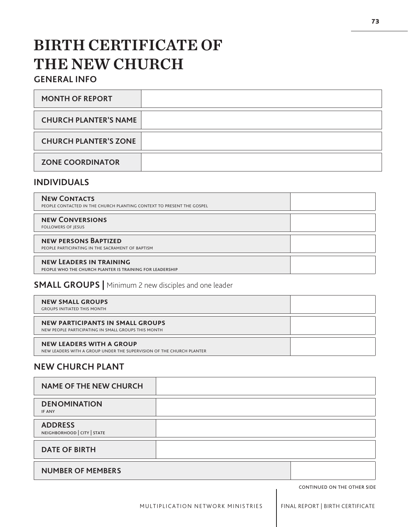# BIRTH CERTIFICATE OF THE NEW CHURCH

## **GENERAL INFO**

| <b>MONTH OF REPORT</b>       |  |
|------------------------------|--|
| <b>CHURCH PLANTER'S NAME</b> |  |
| <b>CHURCH PLANTER'S ZONE</b> |  |
| <b>ZONE COORDINATOR</b>      |  |

### **INDIVIDUALS**

| <b>NEW CONTACTS</b><br>PEOPLE CONTACTED IN THE CHURCH PLANTING CONTEXT TO PRESENT THE GOSPEL |  |
|----------------------------------------------------------------------------------------------|--|
| <b>NEW CONVERSIONS</b><br><b>FOLLOWERS OF JESUS</b>                                          |  |
| <b>NEW PERSONS BAPTIZED</b><br>PEOPLE PARTICIPATING IN THE SACRAMENT OF BAPTISM              |  |
| <b>NEW LEADERS IN TRAINING</b><br>PEOPLE WHO THE CHURCH PLANTER IS TRAINING FOR LEADERSHIP   |  |

## **SMALL GROUPS |** Minimum 2 new disciples and one leader

| <b>NEW SMALL GROUPS</b><br><b>GROUPS INITIATED THIS MONTH</b>                                           |  |
|---------------------------------------------------------------------------------------------------------|--|
| NEW PARTICIPANTS IN SMALL GROUPS<br>NEW PEOPLE PARTICIPATING IN SMALL GROUPS THIS MONTH                 |  |
| <b>NEW LEADERS WITH A GROUP</b><br>NEW LEADERS WITH A GROUP UNDER THE SUPERVISION OF THE CHURCH PLANTER |  |

## **NEW CHURCH PLANT**

| <b>NAME OF THE NEW CHURCH</b>                 |  |
|-----------------------------------------------|--|
| <b>DENOMINATION</b><br><b>IF ANY</b>          |  |
| <b>ADDRESS</b><br>NEIGHBORHOOD   CITY   STATE |  |
| <b>DATE OF BIRTH</b>                          |  |
| <b>NUMBER OF MEMBERS</b>                      |  |

CONTINUED ON THE OTHER SIDE